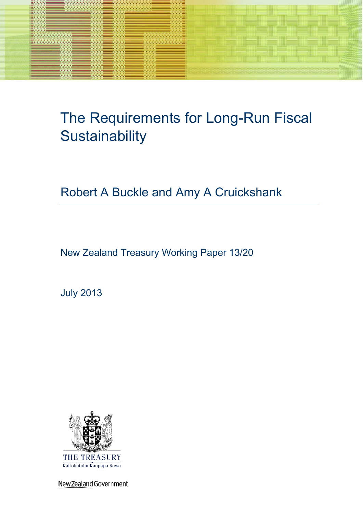

# The Requirements for Long-Run Fiscal **Sustainability**

# Robert A Buckle and Amy A Cruickshank

New Zealand Treasury Working Paper 13/20

July 2013



New Zealand Government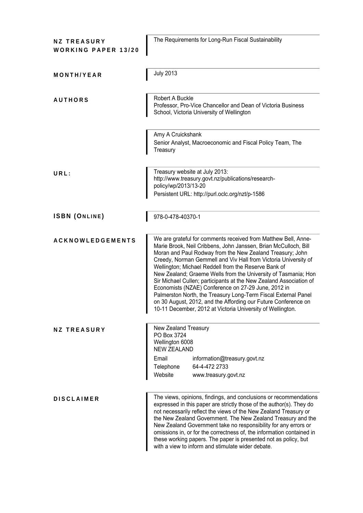| <b>NZ TREASURY</b><br><b>WORKING PAPER 13/20</b> | The Requirements for Long-Run Fiscal Sustainability                                                                                                                                                                                                                                                                                                                                                                                                                                                                                                                                                                                                                                                                        |  |  |
|--------------------------------------------------|----------------------------------------------------------------------------------------------------------------------------------------------------------------------------------------------------------------------------------------------------------------------------------------------------------------------------------------------------------------------------------------------------------------------------------------------------------------------------------------------------------------------------------------------------------------------------------------------------------------------------------------------------------------------------------------------------------------------------|--|--|
| MONTH/YEAR                                       | <b>July 2013</b>                                                                                                                                                                                                                                                                                                                                                                                                                                                                                                                                                                                                                                                                                                           |  |  |
| <b>AUTHORS</b>                                   | Robert A Buckle<br>Professor, Pro-Vice Chancellor and Dean of Victoria Business<br>School, Victoria University of Wellington                                                                                                                                                                                                                                                                                                                                                                                                                                                                                                                                                                                               |  |  |
|                                                  | Amy A Cruickshank<br>Senior Analyst, Macroeconomic and Fiscal Policy Team, The<br>Treasury                                                                                                                                                                                                                                                                                                                                                                                                                                                                                                                                                                                                                                 |  |  |
| URL:                                             | Treasury website at July 2013:<br>http://www.treasury.govt.nz/publications/research-<br>policy/wp/2013/13-20<br>Persistent URL: http://purl.oclc.org/nzt/p-1586                                                                                                                                                                                                                                                                                                                                                                                                                                                                                                                                                            |  |  |
| <b>ISBN (ONLINE)</b>                             | 978-0-478-40370-1                                                                                                                                                                                                                                                                                                                                                                                                                                                                                                                                                                                                                                                                                                          |  |  |
| <b>ACKNOWLEDGEMENTS</b>                          | We are grateful for comments received from Matthew Bell, Anne-<br>Marie Brook, Neil Cribbens, John Janssen, Brian McCulloch, Bill<br>Moran and Paul Rodway from the New Zealand Treasury; John<br>Creedy, Norman Gemmell and Viv Hall from Victoria University of<br>Wellington; Michael Reddell from the Reserve Bank of<br>New Zealand; Graeme Wells from the University of Tasmania; Hon<br>Sir Michael Cullen; participants at the New Zealand Association of<br>Economists (NZAE) Conference on 27-29 June, 2012 in<br>Palmerston North, the Treasury Long-Term Fiscal External Panel<br>on 30 August, 2012, and the Affording our Future Conference on<br>10-11 December, 2012 at Victoria University of Wellington. |  |  |
| <b>NZ TREASURY</b>                               | New Zealand Treasury<br>PO Box 3724<br>Wellington 6008<br><b>NEW ZEALAND</b><br>Email<br>information@treasury.govt.nz<br>64-4-472 2733<br>Telephone<br>Website<br>www.treasury.govt.nz                                                                                                                                                                                                                                                                                                                                                                                                                                                                                                                                     |  |  |
| <b>DISCLAIMER</b>                                | The views, opinions, findings, and conclusions or recommendations<br>expressed in this paper are strictly those of the author(s). They do<br>not necessarily reflect the views of the New Zealand Treasury or<br>the New Zealand Government. The New Zealand Treasury and the<br>New Zealand Government take no responsibility for any errors or<br>omissions in, or for the correctness of, the information contained in<br>these working papers. The paper is presented not as policy, but<br>with a view to inform and stimulate wider debate.                                                                                                                                                                          |  |  |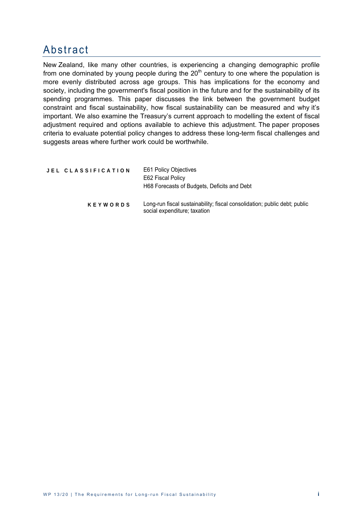### Abstract

New Zealand, like many other countries, is experiencing a changing demographic profile from one dominated by young people during the  $20<sup>th</sup>$  century to one where the population is more evenly distributed across age groups. This has implications for the economy and society, including the government's fiscal position in the future and for the sustainability of its spending programmes. This paper discusses the link between the government budget constraint and fiscal sustainability, how fiscal sustainability can be measured and why it's important. We also examine the Treasury's current approach to modelling the extent of fiscal adjustment required and options available to achieve this adjustment. The paper proposes criteria to evaluate potential policy changes to address these long-term fiscal challenges and suggests areas where further work could be worthwhile.

| JEL CLASSIFICATION | <b>E61 Policy Objectives</b><br>E62 Fiscal Policy<br>H68 Forecasts of Budgets, Deficits and Debt          |  |
|--------------------|-----------------------------------------------------------------------------------------------------------|--|
| <b>KEYWORDS</b>    | Long-run fiscal sustainability; fiscal consolidation; public debt; public<br>social expenditure; taxation |  |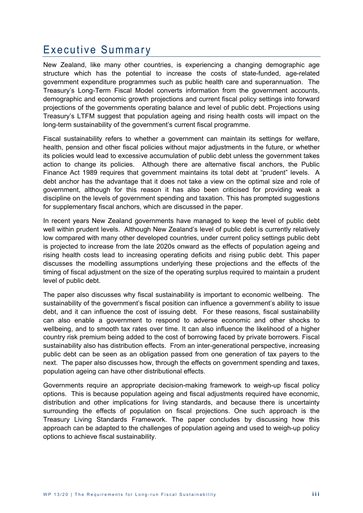### Executive Summary

New Zealand, like many other countries, is experiencing a changing demographic age structure which has the potential to increase the costs of state-funded, age-related government expenditure programmes such as public health care and superannuation. The Treasury's Long-Term Fiscal Model converts information from the government accounts, demographic and economic growth projections and current fiscal policy settings into forward projections of the governments operating balance and level of public debt. Projections using Treasury's LTFM suggest that population ageing and rising health costs will impact on the long-term sustainability of the government's current fiscal programme.

Fiscal sustainability refers to whether a government can maintain its settings for welfare, health, pension and other fiscal policies without major adjustments in the future, or whether its policies would lead to excessive accumulation of public debt unless the government takes action to change its policies. Although there are alternative fiscal anchors, the Public Finance Act 1989 requires that government maintains its total debt at "prudent" levels. A debt anchor has the advantage that it does not take a view on the optimal size and role of government, although for this reason it has also been criticised for providing weak a discipline on the levels of government spending and taxation. This has prompted suggestions for supplementary fiscal anchors, which are discussed in the paper.

In recent years New Zealand governments have managed to keep the level of public debt well within prudent levels. Although New Zealand's level of public debt is currently relatively low compared with many other developed countries, under current policy settings public debt is projected to increase from the late 2020s onward as the effects of population ageing and rising health costs lead to increasing operating deficits and rising public debt. This paper discusses the modelling assumptions underlying these projections and the effects of the timing of fiscal adjustment on the size of the operating surplus required to maintain a prudent level of public debt.

The paper also discusses why fiscal sustainability is important to economic wellbeing. The sustainability of the government's fiscal position can influence a government's ability to issue debt, and it can influence the cost of issuing debt. For these reasons, fiscal sustainability can also enable a government to respond to adverse economic and other shocks to wellbeing, and to smooth tax rates over time. It can also influence the likelihood of a higher country risk premium being added to the cost of borrowing faced by private borrowers. Fiscal sustainability also has distribution effects. From an inter-generational perspective, increasing public debt can be seen as an obligation passed from one generation of tax payers to the next. The paper also discusses how, through the effects on government spending and taxes, population ageing can have other distributional effects.

Governments require an appropriate decision-making framework to weigh-up fiscal policy options. This is because population ageing and fiscal adjustments required have economic, distribution and other implications for living standards, and because there is uncertainty surrounding the effects of population on fiscal projections. One such approach is the Treasury Living Standards Framework. The paper concludes by discussing how this approach can be adapted to the challenges of population ageing and used to weigh-up policy options to achieve fiscal sustainability.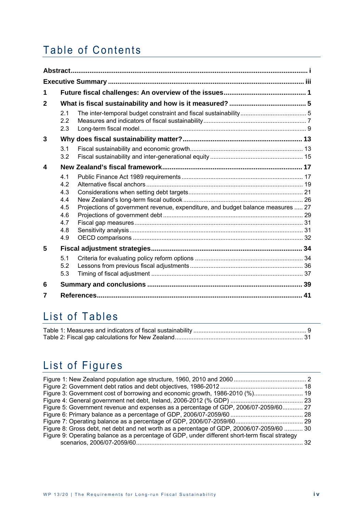## Table of Contents

| 1            |                                                             |                                                                                 |  |
|--------------|-------------------------------------------------------------|---------------------------------------------------------------------------------|--|
| $\mathbf{2}$ |                                                             |                                                                                 |  |
|              | 2.1<br>2.2<br>2.3                                           |                                                                                 |  |
| 3            |                                                             |                                                                                 |  |
|              | 3.1<br>3.2                                                  |                                                                                 |  |
| 4            |                                                             |                                                                                 |  |
|              | 4.1<br>4.2<br>4.3<br>4.4<br>4.5<br>4.6<br>4.7<br>4.8<br>4.9 | Projections of government revenue, expenditure, and budget balance measures  27 |  |
| 5            |                                                             |                                                                                 |  |
|              | 5.1<br>5.2<br>5.3                                           |                                                                                 |  |
| 6            |                                                             |                                                                                 |  |
| 7            |                                                             |                                                                                 |  |

### List of Tables

## List of Figures

| Figure 5: Government revenue and expenses as a percentage of GDP, 2006/07-2059/60 27           |     |
|------------------------------------------------------------------------------------------------|-----|
|                                                                                                |     |
|                                                                                                |     |
| Figure 8: Gross debt, net debt and net worth as a percentage of GDP, 20006/07-2059/60  30      |     |
| Figure 9: Operating balance as a percentage of GDP, under different short-term fiscal strategy |     |
|                                                                                                | 32. |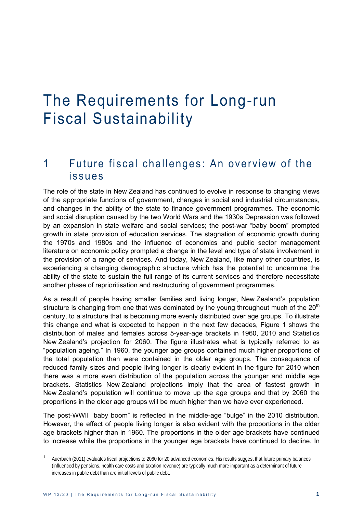# The Requirements for Long-run Fiscal Sustainability

### 1 Future fiscal challenges: An overview of the issues

The role of the state in New Zealand has continued to evolve in response to changing views of the appropriate functions of government, changes in social and industrial circumstances, and changes in the ability of the state to finance government programmes. The economic and social disruption caused by the two World Wars and the 1930s Depression was followed by an expansion in state welfare and social services; the post-war "baby boom" prompted growth in state provision of education services. The stagnation of economic growth during the 1970s and 1980s and the influence of economics and public sector management literature on economic policy prompted a change in the level and type of state involvement in the provision of a range of services. And today, New Zealand, like many other countries, is experiencing a changing demographic structure which has the potential to undermine the ability of the state to sustain the full range of its current services and therefore necessitate another phase of reprioritisation and restructuring of government programmes.<sup>1</sup>

As a result of people having smaller families and living longer, New Zealand's population structure is changing from one that was dominated by the young throughout much of the  $20<sup>th</sup>$ century, to a structure that is becoming more evenly distributed over age groups. To illustrate this change and what is expected to happen in the next few decades, Figure 1 shows the distribution of males and females across 5-year-age brackets in 1960, 2010 and Statistics New Zealand's projection for 2060. The figure illustrates what is typically referred to as "population ageing." In 1960, the younger age groups contained much higher proportions of the total population than were contained in the older age groups. The consequence of reduced family sizes and people living longer is clearly evident in the figure for 2010 when there was a more even distribution of the population across the younger and middle age brackets. Statistics New Zealand projections imply that the area of fastest growth in New Zealand's population will continue to move up the age groups and that by 2060 the proportions in the older age groups will be much higher than we have ever experienced.

The post-WWII "baby boom" is reflected in the middle-age "bulge" in the 2010 distribution. However, the effect of people living longer is also evident with the proportions in the older age brackets higher than in 1960. The proportions in the older age brackets have continued to increase while the proportions in the younger age brackets have continued to decline. In

<sup>1</sup> Auerbach (2011) evaluates fiscal projections to 2060 for 20 advanced economies. His results suggest that future primary balances (influenced by pensions, health care costs and taxation revenue) are typically much more important as a determinant of future increases in public debt than are initial levels of public debt.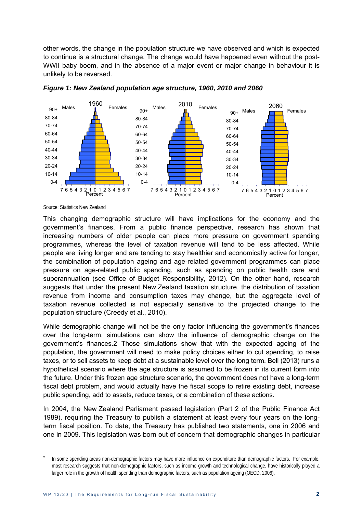other words, the change in the population structure we have observed and which is expected to continue is a structural change. The change would have happened even without the post-WWII baby boom, and in the absence of a major event or major change in behaviour it is unlikely to be reversed.





Source: Statistics New Zealand

-

This changing demographic structure will have implications for the economy and the government's finances. From a public finance perspective, research has shown that increasing numbers of older people can place more pressure on government spending programmes, whereas the level of taxation revenue will tend to be less affected. While people are living longer and are tending to stay healthier and economically active for longer, the combination of population ageing and age-related government programmes can place pressure on age-related public spending, such as spending on public health care and superannuation (see Office of Budget Responsibility, 2012). On the other hand, research suggests that under the present New Zealand taxation structure, the distribution of taxation revenue from income and consumption taxes may change, but the aggregate level of taxation revenue collected is not especially sensitive to the projected change to the population structure (Creedy et al., 2010).

While demographic change will not be the only factor influencing the government's finances over the long-term, simulations can show the influence of demographic change on the government's finances.2 Those simulations show that with the expected ageing of the population, the government will need to make policy choices either to cut spending, to raise taxes, or to sell assets to keep debt at a sustainable level over the long term. Bell (2013) runs a hypothetical scenario where the age structure is assumed to be frozen in its current form into the future. Under this frozen age structure scenario, the government does not have a long-term fiscal debt problem, and would actually have the fiscal scope to retire existing debt, increase public spending, add to assets, reduce taxes, or a combination of these actions.

In 2004, the New Zealand Parliament passed legislation (Part 2 of the Public Finance Act 1989), requiring the Treasury to publish a statement at least every four years on the longterm fiscal position. To date, the Treasury has published two statements, one in 2006 and one in 2009. This legislation was born out of concern that demographic changes in particular

 $\overline{2}$  In some spending areas non-demographic factors may have more influence on expenditure than demographic factors. For example, most research suggests that non-demographic factors, such as income growth and technological change, have historically played a larger role in the growth of health spending than demographic factors, such as population ageing (OECD, 2006).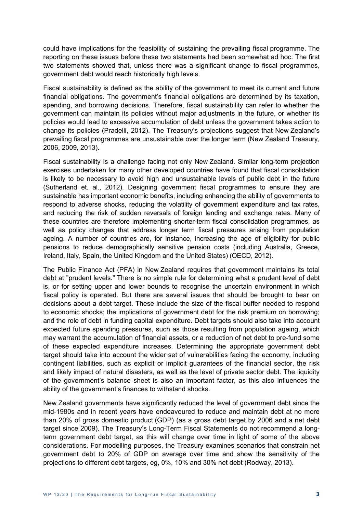could have implications for the feasibility of sustaining the prevailing fiscal programme. The reporting on these issues before these two statements had been somewhat ad hoc. The first two statements showed that, unless there was a significant change to fiscal programmes, government debt would reach historically high levels.

Fiscal sustainability is defined as the ability of the government to meet its current and future financial obligations. The government's financial obligations are determined by its taxation, spending, and borrowing decisions. Therefore, fiscal sustainability can refer to whether the government can maintain its policies without major adjustments in the future, or whether its policies would lead to excessive accumulation of debt unless the government takes action to change its policies (Pradelli, 2012). The Treasury's projections suggest that New Zealand's prevailing fiscal programmes are unsustainable over the longer term (New Zealand Treasury, 2006, 2009, 2013).

Fiscal sustainability is a challenge facing not only New Zealand. Similar long-term projection exercises undertaken for many other developed countries have found that fiscal consolidation is likely to be necessary to avoid high and unsustainable levels of public debt in the future (Sutherland et. al., 2012). Designing government fiscal programmes to ensure they are sustainable has important economic benefits, including enhancing the ability of governments to respond to adverse shocks, reducing the volatility of government expenditure and tax rates, and reducing the risk of sudden reversals of foreign lending and exchange rates. Many of these countries are therefore implementing shorter-term fiscal consolidation programmes, as well as policy changes that address longer term fiscal pressures arising from population ageing. A number of countries are, for instance, increasing the age of eligibility for public pensions to reduce demographically sensitive pension costs (including Australia, Greece, Ireland, Italy, Spain, the United Kingdom and the United States) (OECD, 2012).

The Public Finance Act (PFA) in New Zealand requires that government maintains its total debt at "prudent levels." There is no simple rule for determining what a prudent level of debt is, or for setting upper and lower bounds to recognise the uncertain environment in which fiscal policy is operated. But there are several issues that should be brought to bear on decisions about a debt target. These include the size of the fiscal buffer needed to respond to economic shocks; the implications of government debt for the risk premium on borrowing; and the role of debt in funding capital expenditure. Debt targets should also take into account expected future spending pressures, such as those resulting from population ageing, which may warrant the accumulation of financial assets, or a reduction of net debt to pre-fund some of these expected expenditure increases. Determining the appropriate government debt target should take into account the wider set of vulnerabilities facing the economy, including contingent liabilities, such as explicit or implicit guarantees of the financial sector, the risk and likely impact of natural disasters, as well as the level of private sector debt. The liquidity of the government's balance sheet is also an important factor, as this also influences the ability of the government's finances to withstand shocks.

New Zealand governments have significantly reduced the level of government debt since the mid-1980s and in recent years have endeavoured to reduce and maintain debt at no more than 20% of gross domestic product (GDP) (as a gross debt target by 2006 and a net debt target since 2009). The Treasury's Long-Term Fiscal Statements do not recommend a longterm government debt target, as this will change over time in light of some of the above considerations. For modelling purposes, the Treasury examines scenarios that constrain net government debt to 20% of GDP on average over time and show the sensitivity of the projections to different debt targets, eg, 0%, 10% and 30% net debt (Rodway, 2013).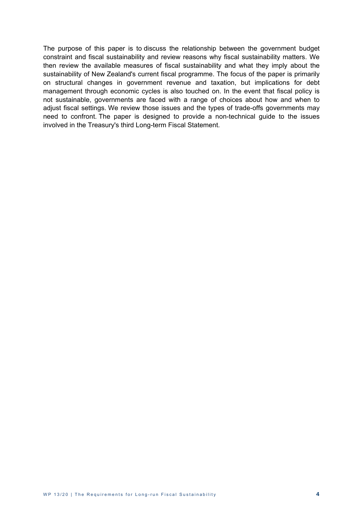The purpose of this paper is to discuss the relationship between the government budget constraint and fiscal sustainability and review reasons why fiscal sustainability matters. We then review the available measures of fiscal sustainability and what they imply about the sustainability of New Zealand's current fiscal programme. The focus of the paper is primarily on structural changes in government revenue and taxation, but implications for debt management through economic cycles is also touched on. In the event that fiscal policy is not sustainable, governments are faced with a range of choices about how and when to adjust fiscal settings. We review those issues and the types of trade-offs governments may need to confront. The paper is designed to provide a non-technical guide to the issues involved in the Treasury's third Long-term Fiscal Statement.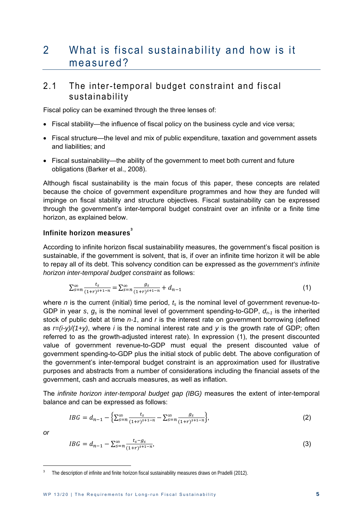### 2 What is fiscal sustainability and how is it measured?

#### 2.1 The inter-temporal budget constraint and fiscal sustainability

Fiscal policy can be examined through the three lenses of:

- Fiscal stability*—*the influence of fiscal policy on the business cycle and vice versa;
- Fiscal structure—the level and mix of public expenditure, taxation and government assets and liabilities; and
- Fiscal sustainability—the ability of the government to meet both current and future obligations (Barker et al., 2008).

Although fiscal sustainability is the main focus of this paper, these concepts are related because the choice of government expenditure programmes and how they are funded will impinge on fiscal stability and structure objectives. Fiscal sustainability can be expressed through the government's inter-temporal budget constraint over an infinite or a finite time horizon, as explained below.

#### **Infinite horizon measures<sup>3</sup>**

According to infinite horizon fiscal sustainability measures, the government's fiscal position is sustainable, if the government is solvent, that is, if over an infinite time horizon it will be able to repay all of its debt. This solvency condition can be expressed as the *government's infinite horizon inter-temporal budget constraint* as follows:

$$
\sum_{s=n}^{\infty} \frac{t_s}{(1+r)^{s+1-n}} = \sum_{s=n}^{\infty} \frac{g_s}{(1+r)^{s+1-n}} + d_{n-1}
$$
 (1)

where  $n$  is the current (initial) time period,  $t_s$  is the nominal level of government revenue-to-GDP in year *s*, *gs* is the nominal level of government spending-to-GDP, *dn-1* is the inherited stock of public debt at time *n-1*, and *r* is the interest rate on government borrowing (defined as  $r=(i-y)/(1+y)$ , where *i* is the nominal interest rate and *y* is the growth rate of GDP; often referred to as the growth-adjusted interest rate). In expression (1), the present discounted value of government revenue-to-GDP must equal the present discounted value of government spending-to-GDP plus the initial stock of public debt. The above configuration of the government's inter-temporal budget constraint is an approximation used for illustrative purposes and abstracts from a number of considerations including the financial assets of the government, cash and accruals measures, as well as inflation.

The *infinite horizon inter-temporal budget gap (IBG)* measures the extent of inter-temporal balance and can be expressed as follows:

$$
IBG = d_{n-1} - \left\{ \sum_{s=n}^{\infty} \frac{t_s}{(1+r)^{s+1-n}} - \sum_{s=n}^{\infty} \frac{g_s}{(1+r)^{s+1-n}} \right\},\tag{2}
$$

*or* 

$$
IBG = d_{n-1} - \sum_{s=n}^{\infty} \frac{t_s - g_s}{(1+r)^{s+1-n}},
$$
\n(3)

<sup>&</sup>lt;sup>3</sup> The description of infinite and finite horizon fiscal sustainability measures draws on Pradelli (2012).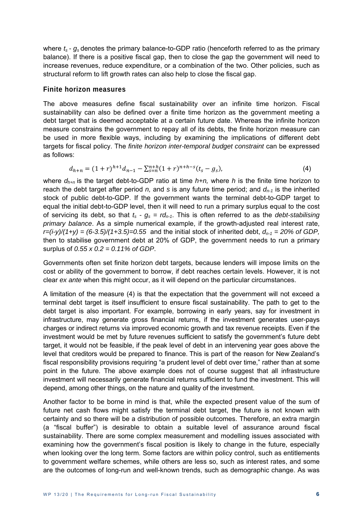where  $t_s$  -  $g_s$  denotes the primary balance-to-GDP ratio (henceforth referred to as the primary balance). If there is a positive fiscal gap, then to close the gap the government will need to increase revenues, reduce expenditure, or a combination of the two. Other policies, such as structural reform to lift growth rates can also help to close the fiscal gap.

#### **Finite horizon measures**

The above measures define fiscal sustainability over an infinite time horizon. Fiscal sustainability can also be defined over a finite time horizon as the government meeting a debt target that is deemed acceptable at a certain future date. Whereas the infinite horizon measure constrains the government to repay all of its debts, the finite horizon measure can be used in more flexible ways, including by examining the implications of different debt targets for fiscal policy. The *finite horizon inter-temporal budget constraint* can be expressed as follows:

$$
d_{h+n} = (1+r)^{h+1} d_{n-1} - \sum_{s=n}^{n+h} (1+r)^{n+h-s} (t_s - g_s),
$$
\n(4)

where *dh+n* is the target debt-to-GDP ratio at time *h+n,* where *h* is the finite time horizon to reach the debt target after period *n*, and *s* is any future time period; and  $d_{n-1}$  is the inherited stock of public debt-to-GDP. If the government wants the terminal debt-to-GDP target to equal the initial debt-to-GDP level, then it will need to run a primary surplus equal to the cost of servicing its debt, so that  $t_s - g_s = r d_{n-1}$ . This is often referred to as the *debt-stabilising primary balance*. As a simple numerical example, if the growth-adjusted real interest rate,  $r=(i-v)/(1+v) = (6-3.5)/(1+3.5)=0.55$  and the initial stock of inherited debt,  $d_{n-1} = 20\%$  of GDP, then to stabilise government debt at 20% of GDP, the government needs to run a primary surplus of *0.55 x 0.2 = 0.11% of GDP*.

Governments often set finite horizon debt targets, because lenders will impose limits on the cost or ability of the government to borrow, if debt reaches certain levels. However, it is not clear *ex ante* when this might occur, as it will depend on the particular circumstances.

A limitation of the measure (4) is that the expectation that the government will not exceed a terminal debt target is itself insufficient to ensure fiscal sustainability. The path to get to the debt target is also important. For example, borrowing in early years, say for investment in infrastructure, may generate gross financial returns, if the investment generates user-pays charges or indirect returns via improved economic growth and tax revenue receipts. Even if the investment would be met by future revenues sufficient to satisfy the government's future debt target, it would not be feasible, if the peak level of debt in an intervening year goes above the level that creditors would be prepared to finance. This is part of the reason for New Zealand's fiscal responsibility provisions requiring "a prudent level of debt over time," rather than at some point in the future. The above example does not of course suggest that all infrastructure investment will necessarily generate financial returns sufficient to fund the investment. This will depend, among other things, on the nature and quality of the investment.

Another factor to be borne in mind is that, while the expected present value of the sum of future net cash flows might satisfy the terminal debt target, the future is not known with certainty and so there will be a distribution of possible outcomes. Therefore, an extra margin (a "fiscal buffer") is desirable to obtain a suitable level of assurance around fiscal sustainability. There are some complex measurement and modelling issues associated with examining how the government's fiscal position is likely to change in the future, especially when looking over the long term. Some factors are within policy control, such as entitlements to government welfare schemes, while others are less so, such as interest rates, and some are the outcomes of long-run and well-known trends, such as demographic change. As was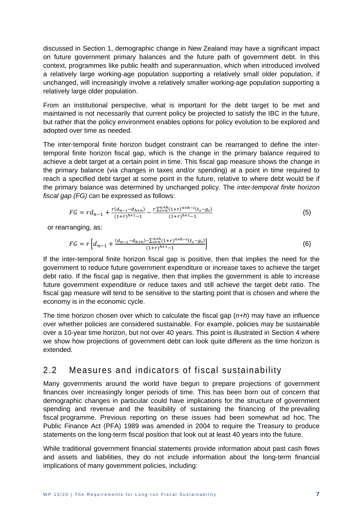discussed in Section 1, demographic change in New Zealand may have a significant impact on future government primary balances and the future path of government debt. In this context, programmes like public health and superannuation, which when introduced involved a relatively large working-age population supporting a relatively small older population, if unchanged, will increasingly involve a relatively smaller working-age population supporting a relatively large older population.

From an institutional perspective, what is important for the debt target to be met and maintained is not necessarily that current policy be projected to satisfy the IBC in the future, but rather that the policy environment enables options for policy evolution to be explored and adopted over time as needed.

The inter-temporal finite horizon budget constraint can be rearranged to define the intertemporal finite horizon fiscal gap, which is the change in the primary balance required to achieve a debt target at a certain point in time. This fiscal gap measure shows the change in the primary balance (via changes in taxes and/or spending) at a point in time required to reach a specified debt target at some point in the future, relative to where debt would be if the primary balance was determined by unchanged policy. The *inter-temporal finite horizon fiscal gap (FG)* can be expressed as follows:

$$
FG = rd_{n-1} + \frac{r(a_{n-1} - d_{h+n})}{(1+r)^{h+1} - 1} - \frac{r\sum_{s=n}^{n+h}(1+r)^{n+h-s}(t_s - g_s)}{(1+r)^{h+1} - 1}
$$
(5)

or rearranging, as:

$$
FG = r \left[ d_{n-1} + \frac{(d_{n-1} - d_{n+n}) - \sum_{s=n}^{n+h} (1+r)^{n+h-s} (t_s - g_s)}{(1+r)^{h+1} - 1} \right]
$$
(6)

If the inter-temporal finite horizon fiscal gap is positive, then that implies the need for the government to reduce future government expenditure or increase taxes to achieve the target debt ratio. If the fiscal gap is negative, then that implies the government is able to increase future government expenditure or reduce taxes and still achieve the target debt ratio. The fiscal gap measure will tend to be sensitive to the starting point that is chosen and where the economy is in the economic cycle.

The time horizon chosen over which to calculate the fiscal gap (*n+h*) may have an influence over whether policies are considered sustainable. For example, policies may be sustainable over a 10-year time horizon, but not over 40 years. This point is illustrated in Section 4 where we show how projections of government debt can look quite different as the time horizon is extended.

#### 2.2 Measures and indicators of fiscal sustainability

Many governments around the world have begun to prepare projections of government finances over increasingly longer periods of time. This has been born out of concern that demographic changes in particular could have implications for the structure of government spending and revenue and the feasibility of sustaining the financing of the prevailing fiscal programme. Previous reporting on these issues had been somewhat ad hoc. The Public Finance Act (PFA) 1989 was amended in 2004 to require the Treasury to produce statements on the long-term fiscal position that look out at least 40 years into the future.

While traditional government financial statements provide information about past cash flows and assets and liabilities, they do not include information about the long-term financial implications of many government policies, including: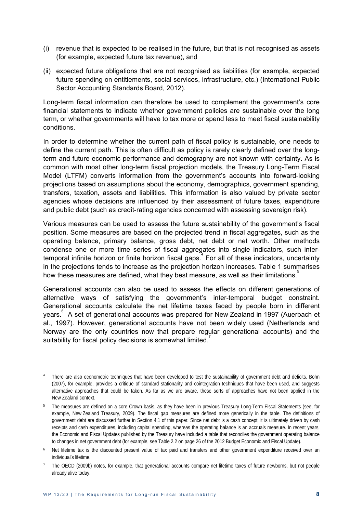- (i) revenue that is expected to be realised in the future, but that is not recognised as assets (for example, expected future tax revenue), and
- (ii) expected future obligations that are not recognised as liabilities (for example, expected future spending on entitlements, social services, infrastructure, etc.) (International Public Sector Accounting Standards Board, 2012).

Long-term fiscal information can therefore be used to complement the government's core financial statements to indicate whether government policies are sustainable over the long term, or whether governments will have to tax more or spend less to meet fiscal sustainability conditions.

In order to determine whether the current path of fiscal policy is sustainable, one needs to define the current path. This is often difficult as policy is rarely clearly defined over the longterm and future economic performance and demography are not known with certainty. As is common with most other long-term fiscal projection models, the Treasury Long-Term Fiscal Model (LTFM) converts information from the government's accounts into forward-looking projections based on assumptions about the economy, demographics, government spending, transfers, taxation, assets and liabilities. This information is also valued by private sector agencies whose decisions are influenced by their assessment of future taxes, expenditure and public debt (such as credit-rating agencies concerned with assessing sovereign risk).

Various measures can be used to assess the future sustainability of the government's fiscal position. Some measures are based on the projected trend in fiscal aggregates, such as the operating balance, primary balance, gross debt, net debt or net worth. Other methods condense one or more time series of fiscal aggregates into single indicators, such intertemporal infinite horizon or finite horizon fiscal gaps.<sup>4</sup> For all of these indicators, uncertainty in the projections tends to increase as the projection horizon increases. Table 1 summarises how these measures are defined, what they best measure, as well as their limitations. $5$ 

Generational accounts can also be used to assess the effects on different generations of alternative ways of satisfying the government's inter-temporal budget constraint. Generational accounts calculate the net lifetime taxes faced by people born in different years.<sup>6</sup> A set of generational accounts was prepared for New Zealand in 1997 (Auerbach et al., 1997). However, generational accounts have not been widely used (Netherlands and Norway are the only countries now that prepare regular generational accounts) and the suitability for fiscal policy decisions is somewhat limited.<sup>7</sup>

 $\overline{a}$ 

There are also econometric techniques that have been developed to test the sustainability of government debt and deficits. Bohn (2007), for example, provides a critique of standard stationarity and cointegration techniques that have been used, and suggests alternative approaches that could be taken. As far as we are aware, these sorts of approaches have not been applied in the New Zealand context.

<sup>&</sup>lt;sup>5</sup> The measures are defined on a core Crown basis, as they have been in previous Treasury Long-Term Fiscal Statements (see, for example, New Zealand Treasury, 2009). The fiscal gap measures are defined more generically in the table. The definitions of government debt are discussed further in Section 4.1 of this paper. Since net debt is a cash concept, it is ultimately driven by cash receipts and cash expenditures, including capital spending, whereas the operating balance is an accruals measure. In recent years, the Economic and Fiscal Updates published by the Treasury have included a table that reconciles the government operating balance to changes in net government debt (for example, see Table 2.2 on page 26 of the 2012 Budget Economic and Fiscal Update).

<sup>&</sup>lt;sup>6</sup> Net lifetime tax is the discounted present value of tax paid and transfers and other government expenditure received over an individual's lifetime.

<sup>&</sup>lt;sup>7</sup> The OECD (2009b) notes, for example, that generational accounts compare net lifetime taxes of future newborns, but not people already alive today.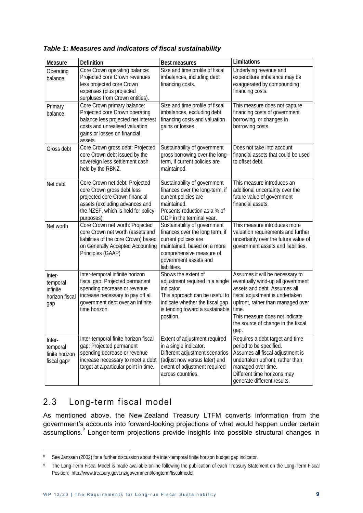| Measure                                                         | <b>Definition</b>                                                                                                                                                                            | <b>Best measures</b>                                                                                                                                                                        | Limitations                                                                                                                                                                                                                                                           |
|-----------------------------------------------------------------|----------------------------------------------------------------------------------------------------------------------------------------------------------------------------------------------|---------------------------------------------------------------------------------------------------------------------------------------------------------------------------------------------|-----------------------------------------------------------------------------------------------------------------------------------------------------------------------------------------------------------------------------------------------------------------------|
| Operating<br>balance                                            | Core Crown operating balance:<br>Projected core Crown revenues<br>less projected core Crown<br>expenses (plus projected<br>surpluses from Crown entities).                                   | Size and time profile of fiscal<br>imbalances, including debt<br>financing costs.                                                                                                           | Underlying revenue and<br>expenditure imbalance may be<br>exaggerated by compounding<br>financing costs.                                                                                                                                                              |
| Primary<br>balance                                              | Core Crown primary balance:<br>Projected core Crown operating<br>balance less projected net interest<br>costs and unrealised valuation<br>gains or losses on financial<br>assets.            | Size and time profile of fiscal<br>imbalances, excluding debt<br>financing costs and valuation<br>gains or losses.                                                                          | This measure does not capture<br>financing costs of government<br>borrowing, or changes in<br>borrowing costs.                                                                                                                                                        |
| Gross debt                                                      | Core Crown gross debt: Projected<br>core Crown debt issued by the<br>sovereign less settlement cash<br>held by the RBNZ.                                                                     | Sustainability of government<br>gross borrowing over the long-<br>term, if current policies are<br>maintained.                                                                              | Does not take into account<br>financial assets that could be used<br>to offset debt.                                                                                                                                                                                  |
| Net debt                                                        | Core Crown net debt: Projected<br>core Crown gross debt less<br>projected core Crown financial<br>assets (excluding advances and<br>the NZSF, which is held for policy<br>purposes).         | Sustainability of government<br>finances over the long-term, if<br>current policies are<br>maintained.<br>Presents reduction as a % of<br>GDP in the terminal year.                         | This measure introduces an<br>additional uncertainty over the<br>future value of government<br>financial assets.                                                                                                                                                      |
| Net worth                                                       | Core Crown net worth: Projected<br>core Crown net worth (assets and<br>liabilities of the core Crown) based<br>on Generally Accepted Accounting<br>Principles (GAAP)                         | Sustainability of government<br>finances over the long term, if<br>current policies are<br>maintained, based on a more<br>comprehensive measure of<br>government assets and<br>liabilities. | This measure introduces more<br>valuation requirements and further<br>uncertainty over the future value of<br>government assets and liabilities.                                                                                                                      |
| Inter-<br>temporal<br>infinite<br>horizon fiscal<br>gap         | Inter-temporal infinite horizon<br>fiscal gap: Projected permanent<br>spending decrease or revenue<br>increase necessary to pay off all<br>government debt over an infinite<br>time horizon. | Shows the extent of<br>adjustment required in a single<br>indicator.<br>This approach can be useful to<br>indicate whether the fiscal gap<br>is tending toward a sustainable<br>position.   | Assumes it will be necessary to<br>eventually wind-up all government<br>assets and debt. Assumes all<br>fiscal adjustment is undertaken<br>upfront, rather than managed over<br>time.<br>This measure does not indicate<br>the source of change in the fiscal<br>gap. |
| Inter-<br>temporal<br>finite horizon<br>fiscal gap <sup>8</sup> | Inter-temporal finite horizon fiscal<br>gap: Projected permanent<br>spending decrease or revenue<br>increase necessary to meet a debt<br>target at a particular point in time.               | Extent of adjustment required<br>in a single indicator.<br>Different adjustment scenarios<br>(adjust now versus later) and<br>extent of adjustment required<br>across countries.            | Requires a debt target and time<br>period to be specified.<br>Assumes all fiscal adjustment is<br>undertaken upfront, rather than<br>managed over time.<br>Different time horizons may<br>generate different results.                                                 |

#### *Table 1: Measures and indicators of fiscal sustainability*

### 2.3 Long-term fiscal model

-

As mentioned above, the New Zealand Treasury LTFM converts information from the government's accounts into forward-looking projections of what would happen under certain assumptions.<sup>9</sup> Longer-term projections provide insights into possible structural changes in

<sup>8</sup> See Janssen (2002) for a further discussion about the inter-temporal finite horizon budget gap indicator.

<sup>9</sup> The Long-Term Fiscal Model is made available online following the publication of each Treasury Statement on the Long-Term Fiscal Position: http://www.treasury.govt.nz/government/longterm/fiscalmodel.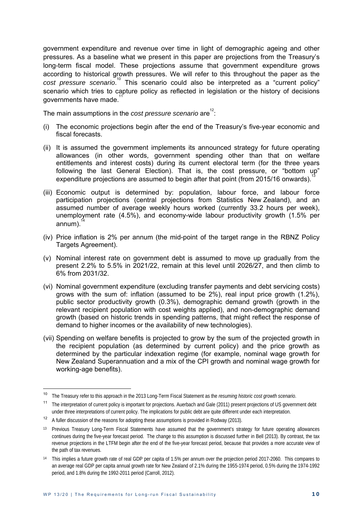government expenditure and revenue over time in light of demographic ageing and other pressures. As a baseline what we present in this paper are projections from the Treasury's long-term fiscal model. These projections assume that government expenditure grows according to historical growth pressures. We will refer to this throughout the paper as the cost pressure scenario.<sup>10</sup> This scenario could also be interpreted as a "current policy" scenario which tries to capture policy as reflected in legislation or the history of decisions governments have made.

The main assumptions in the *cost pressure scenario* are $12$ :

- (i) The economic projections begin after the end of the Treasury's five-year economic and fiscal forecasts.
- (ii) It is assumed the government implements its announced strategy for future operating allowances (in other words, government spending other than that on welfare entitlements and interest costs) during its current electoral term (for the three years following the last General Election). That is, the cost pressure, or "bottom up" expenditure projections are assumed to begin after that point (from 2015/16 onwards).
- (iii) Economic output is determined by: population, labour force, and labour force participation projections (central projections from Statistics New Zealand), and an assumed number of average weekly hours worked (currently 33.2 hours per week), unemployment rate (4.5%), and economy-wide labour productivity growth (1.5% per annum).
- (iv) Price inflation is 2% per annum (the mid-point of the target range in the RBNZ Policy Targets Agreement).
- (v) Nominal interest rate on government debt is assumed to move up gradually from the present 2.2% to 5.5% in 2021/22, remain at this level until 2026/27, and then climb to 6% from 2031/32.
- (vi) Nominal government expenditure (excluding transfer payments and debt servicing costs) grows with the sum of: inflation (assumed to be 2%), real input price growth (1.2%), public sector productivity growth (0.3%), demographic demand growth (growth in the relevant recipient population with cost weights applied), and non-demographic demand growth (based on historic trends in spending patterns, that might reflect the response of demand to higher incomes or the availability of new technologies).
- (vii) Spending on welfare benefits is projected to grow by the sum of the projected growth in the recipient population (as determined by current policy) and the price growth as determined by the particular indexation regime (for example, nominal wage growth for New Zealand Superannuation and a mix of the CPI growth and nominal wage growth for working-age benefits).

 $10$ <sup>10</sup> The Treasury refer to this approach in the 2013 Long-Term Fiscal Statement as the *resuming historic cost growth scenario*.

<sup>&</sup>lt;sup>11</sup> The interpretation of current policy is important for projections. Auerbach and Gale (2011) present projections of US government debt under three interpretations of current policy. The implications for public debt are quite different under each interpretation.

<sup>&</sup>lt;sup>12</sup> A fuller discussion of the reasons for adopting these assumptions is provided in Rodway (2013).

<sup>&</sup>lt;sup>13</sup> Previous Treasury Long-Term Fiscal Statements have assumed that the government's strategy for future operating allowances continues during the five-year forecast period. The change to this assumption is discussed further in Bell (2013). By contrast, the tax revenue projections in the LTFM begin after the end of the five-year forecast period, because that provides a more accurate view of the path of tax revenues.

<sup>&</sup>lt;sup>14</sup> This implies a future growth rate of real GDP per capita of 1.5% per annum over the projection period 2017-2060. This compares to an average real GDP per capita annual growth rate for New Zealand of 2.1% during the 1955-1974 period, 0.5% during the 1974-1992 period, and 1.8% during the 1992-2011 period (Carroll, 2012).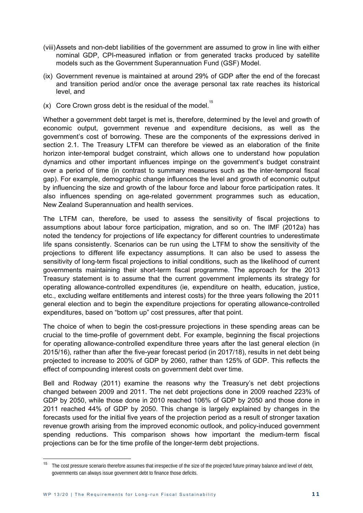- (viii) Assets and non-debt liabilities of the government are assumed to grow in line with either nominal GDP, CPI-measured inflation or from generated tracks produced by satellite models such as the Government Superannuation Fund (GSF) Model.
- (ix) Government revenue is maintained at around 29% of GDP after the end of the forecast and transition period and/or once the average personal tax rate reaches its historical level, and
- (x) Core Crown gross debt is the residual of the model.<sup>15</sup>

Whether a government debt target is met is, therefore, determined by the level and growth of economic output, government revenue and expenditure decisions, as well as the government's cost of borrowing. These are the components of the expressions derived in section 2.1. The Treasury LTFM can therefore be viewed as an elaboration of the finite horizon inter-temporal budget constraint, which allows one to understand how population dynamics and other important influences impinge on the government's budget constraint over a period of time (in contrast to summary measures such as the inter-temporal fiscal gap). For example, demographic change influences the level and growth of economic output by influencing the size and growth of the labour force and labour force participation rates. It also influences spending on age-related government programmes such as education, New Zealand Superannuation and health services.

The LTFM can, therefore, be used to assess the sensitivity of fiscal projections to assumptions about labour force participation, migration, and so on. The IMF (2012a) has noted the tendency for projections of life expectancy for different countries to underestimate life spans consistently. Scenarios can be run using the LTFM to show the sensitivity of the projections to different life expectancy assumptions. It can also be used to assess the sensitivity of long-term fiscal projections to initial conditions, such as the likelihood of current governments maintaining their short-term fiscal programme. The approach for the 2013 Treasury statement is to assume that the current government implements its strategy for operating allowance-controlled expenditures (ie, expenditure on health, education, justice, etc., excluding welfare entitlements and interest costs) for the three years following the 2011 general election and to begin the expenditure projections for operating allowance-controlled expenditures, based on "bottom up" cost pressures, after that point.

The choice of when to begin the cost-pressure projections in these spending areas can be crucial to the time-profile of government debt. For example, beginning the fiscal projections for operating allowance-controlled expenditure three years after the last general election (in 2015/16), rather than after the five-year forecast period (in 2017/18), results in net debt being projected to increase to 200% of GDP by 2060, rather than 125% of GDP. This reflects the effect of compounding interest costs on government debt over time.

Bell and Rodway (2011) examine the reasons why the Treasury's net debt projections changed between 2009 and 2011. The net debt projections done in 2009 reached 223% of GDP by 2050, while those done in 2010 reached 106% of GDP by 2050 and those done in 2011 reached 44% of GDP by 2050. This change is largely explained by changes in the forecasts used for the initial five years of the projection period as a result of stronger taxation revenue growth arising from the improved economic outlook, and policy-induced government spending reductions. This comparison shows how important the medium-term fiscal projections can be for the time profile of the longer-term debt projections.

<sup>&</sup>lt;sup>15</sup> The cost pressure scenario therefore assumes that irrespective of the size of the projected future primary balance and level of debt, governments can always issue government debt to finance those deficits.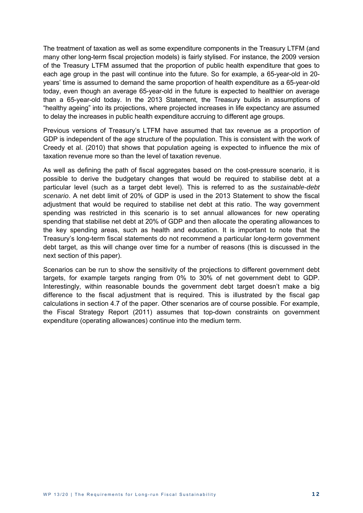The treatment of taxation as well as some expenditure components in the Treasury LTFM (and many other long-term fiscal projection models) is fairly stylised. For instance, the 2009 version of the Treasury LTFM assumed that the proportion of public health expenditure that goes to each age group in the past will continue into the future. So for example, a 65-year-old in 20 years' time is assumed to demand the same proportion of health expenditure as a 65-year-old today, even though an average 65-year-old in the future is expected to healthier on average than a 65-year-old today. In the 2013 Statement, the Treasury builds in assumptions of "healthy ageing" into its projections, where projected increases in life expectancy are assumed to delay the increases in public health expenditure accruing to different age groups.

Previous versions of Treasury's LTFM have assumed that tax revenue as a proportion of GDP is independent of the age structure of the population. This is consistent with the work of Creedy et al. (2010) that shows that population ageing is expected to influence the mix of taxation revenue more so than the level of taxation revenue.

As well as defining the path of fiscal aggregates based on the cost-pressure scenario, it is possible to derive the budgetary changes that would be required to stabilise debt at a particular level (such as a target debt level). This is referred to as the *sustainable-debt scenario*. A net debt limit of 20% of GDP is used in the 2013 Statement to show the fiscal adjustment that would be required to stabilise net debt at this ratio. The way government spending was restricted in this scenario is to set annual allowances for new operating spending that stabilise net debt at 20% of GDP and then allocate the operating allowances to the key spending areas, such as health and education. It is important to note that the Treasury's long-term fiscal statements do not recommend a particular long-term government debt target, as this will change over time for a number of reasons (this is discussed in the next section of this paper).

Scenarios can be run to show the sensitivity of the projections to different government debt targets, for example targets ranging from 0% to 30% of net government debt to GDP. Interestingly, within reasonable bounds the government debt target doesn't make a big difference to the fiscal adjustment that is required. This is illustrated by the fiscal gap calculations in section 4.7 of the paper. Other scenarios are of course possible. For example, the Fiscal Strategy Report (2011) assumes that top-down constraints on government expenditure (operating allowances) continue into the medium term.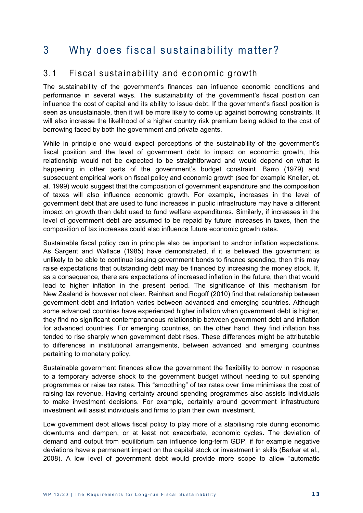### 3 Why does fiscal sustainability matter?

#### 3.1 Fiscal sustainability and economic growth

The sustainability of the government's finances can influence economic conditions and performance in several ways. The sustainability of the government's fiscal position can influence the cost of capital and its ability to issue debt. If the government's fiscal position is seen as unsustainable, then it will be more likely to come up against borrowing constraints. It will also increase the likelihood of a higher country risk premium being added to the cost of borrowing faced by both the government and private agents.

While in principle one would expect perceptions of the sustainability of the government's fiscal position and the level of government debt to impact on economic growth, this relationship would not be expected to be straightforward and would depend on what is happening in other parts of the government's budget constraint. Barro (1979) and subsequent empirical work on fiscal policy and economic growth (see for example Kneller, et. al. 1999) would suggest that the composition of government expenditure and the composition of taxes will also influence economic growth. For example, increases in the level of government debt that are used to fund increases in public infrastructure may have a different impact on growth than debt used to fund welfare expenditures. Similarly, if increases in the level of government debt are assumed to be repaid by future increases in taxes, then the composition of tax increases could also influence future economic growth rates.

Sustainable fiscal policy can in principle also be important to anchor inflation expectations. As Sargent and Wallace (1985) have demonstrated, if it is believed the government is unlikely to be able to continue issuing government bonds to finance spending, then this may raise expectations that outstanding debt may be financed by increasing the money stock. If, as a consequence, there are expectations of increased inflation in the future, then that would lead to higher inflation in the present period. The significance of this mechanism for New Zealand is however not clear. Reinhart and Rogoff (2010) find that relationship between government debt and inflation varies between advanced and emerging countries. Although some advanced countries have experienced higher inflation when government debt is higher, they find no significant contemporaneous relationship between government debt and inflation for advanced countries. For emerging countries, on the other hand, they find inflation has tended to rise sharply when government debt rises. These differences might be attributable to differences in institutional arrangements, between advanced and emerging countries pertaining to monetary policy.

Sustainable government finances allow the government the flexibility to borrow in response to a temporary adverse shock to the government budget without needing to cut spending programmes or raise tax rates. This "smoothing" of tax rates over time minimises the cost of raising tax revenue. Having certainty around spending programmes also assists individuals to make investment decisions. For example, certainty around government infrastructure investment will assist individuals and firms to plan their own investment.

Low government debt allows fiscal policy to play more of a stabilising role during economic downturns and dampen, or at least not exacerbate, economic cycles. The deviation of demand and output from equilibrium can influence long-term GDP, if for example negative deviations have a permanent impact on the capital stock or investment in skills (Barker et al., 2008). A low level of government debt would provide more scope to allow "automatic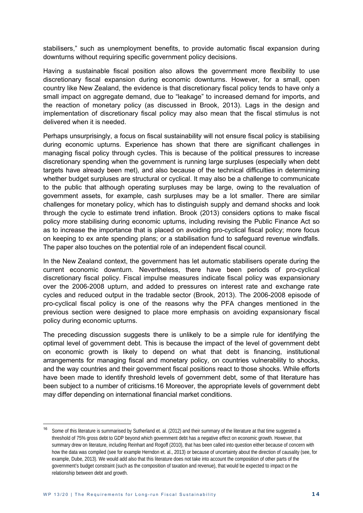stabilisers," such as unemployment benefits, to provide automatic fiscal expansion during downturns without requiring specific government policy decisions.

Having a sustainable fiscal position also allows the government more flexibility to use discretionary fiscal expansion during economic downturns. However, for a small, open country like New Zealand, the evidence is that discretionary fiscal policy tends to have only a small impact on aggregate demand, due to "leakage" to increased demand for imports, and the reaction of monetary policy (as discussed in Brook, 2013). Lags in the design and implementation of discretionary fiscal policy may also mean that the fiscal stimulus is not delivered when it is needed.

Perhaps unsurprisingly, a focus on fiscal sustainability will not ensure fiscal policy is stabilising during economic upturns. Experience has shown that there are significant challenges in managing fiscal policy through cycles. This is because of the political pressures to increase discretionary spending when the government is running large surpluses (especially when debt targets have already been met), and also because of the technical difficulties in determining whether budget surpluses are structural or cyclical. It may also be a challenge to communicate to the public that although operating surpluses may be large, owing to the revaluation of government assets, for example, cash surpluses may be a lot smaller. There are similar challenges for monetary policy, which has to distinguish supply and demand shocks and look through the cycle to estimate trend inflation. Brook (2013) considers options to make fiscal policy more stabilising during economic upturns, including revising the Public Finance Act so as to increase the importance that is placed on avoiding pro-cyclical fiscal policy; more focus on keeping to ex ante spending plans; or a stabilisation fund to safeguard revenue windfalls. The paper also touches on the potential role of an independent fiscal council.

In the New Zealand context, the government has let automatic stabilisers operate during the current economic downturn. Nevertheless, there have been periods of pro-cyclical discretionary fiscal policy. Fiscal impulse measures indicate fiscal policy was expansionary over the 2006-2008 upturn, and added to pressures on interest rate and exchange rate cycles and reduced output in the tradable sector (Brook, 2013). The 2006-2008 episode of pro-cyclical fiscal policy is one of the reasons why the PFA changes mentioned in the previous section were designed to place more emphasis on avoiding expansionary fiscal policy during economic upturns.

The preceding discussion suggests there is unlikely to be a simple rule for identifying the optimal level of government debt. This is because the impact of the level of government debt on economic growth is likely to depend on what that debt is financing, institutional arrangements for managing fiscal and monetary policy, on countries vulnerability to shocks, and the way countries and their government fiscal positions react to those shocks. While efforts have been made to identify threshold levels of government debt, some of that literature has been subject to a number of criticisms.16 Moreover, the appropriate levels of government debt may differ depending on international financial market conditions.

<sup>&</sup>lt;sup>16</sup> Some of this literature is summarised by Sutherland et. al. (2012) and their summary of the literature at that time suggested a threshold of 75% gross debt to GDP beyond which government debt has a negative effect on economic growth. However, that summary drew on literature, including Reinhart and Rogoff (2010), that has been called into question either because of concern with how the data was compiled (see for example Herndon et. al., 2013) or because of uncertainty about the direction of causality (see, for example, Dube, 2013). We would add also that this literature does not take into account the composition of other parts of the government's budget constraint (such as the composition of taxation and revenue), that would be expected to impact on the relationship between debt and growth.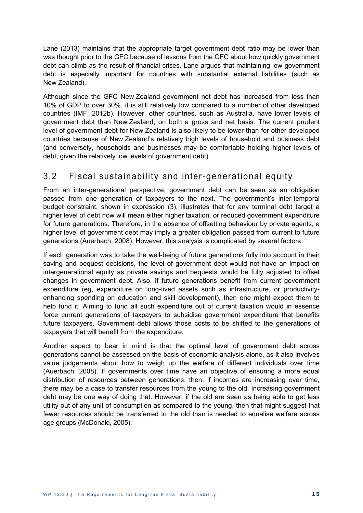Lane (2013) maintains that the appropriate target government debt ratio may be lower than was thought prior to the GFC because of lessons from the GFC about how quickly government debt can climb as the result of financial crises. Lane argues that maintaining low government debt is especially important for countries with substantial external liabilities (such as New Zealand).

Although since the GFC New Zealand government net debt has increased from less than 10% of GDP to over 30%, it is still relatively low compared to a number of other developed countries (IMF, 2012b). However, other countries, such as Australia, have lower levels of government debt than New Zealand, on both a gross and net basis. The current prudent level of government debt for New Zealand is also likely to be lower than for other developed countries because of New Zealand's relatively high levels of household and business debt (and conversely, households and businesses may be comfortable holding higher levels of debt, given the relatively low levels of government debt).

### 3.2 Fiscal sustainability and inter-generational equity

From an inter-generational perspective, government debt can be seen as an obligation passed from one generation of taxpayers to the next. The government's inter-temporal budget constraint, shown in expression (3), illustrates that for any terminal debt target a higher level of debt now will mean either higher taxation, or reduced government expenditure for future generations. Therefore, in the absence of offsetting behaviour by private agents, a higher level of government debt may imply a greater obligation passed from current to future generations (Auerbach, 2008). However, this analysis is complicated by several factors.

If each generation was to take the well-being of future generations fully into account in their saving and bequest decisions, the level of government debt would not have an impact on intergenerational equity as private savings and bequests would be fully adjusted to offset changes in government debt. Also, if future generations benefit from current government expenditure (eg, expenditure on long-lived assets such as infrastructure, or productivityenhancing spending on education and skill development), then one might expect them to help fund it. Aiming to fund all such expenditure out of current taxation would in essence force current generations of taxpayers to subsidise government expenditure that benefits future taxpayers. Government debt allows those costs to be shifted to the generations of taxpayers that will benefit from the expenditure.

Another aspect to bear in mind is that the optimal level of government debt across generations cannot be assessed on the basis of economic analysis alone, as it also involves value judgements about how to weigh up the welfare of different individuals over time (Auerbach, 2008). If governments over time have an objective of ensuring a more equal distribution of resources between generations, then, if incomes are increasing over time, there may be a case to transfer resources from the young to the old. Increasing government debt may be one way of doing that. However, if the old are seen as being able to get less utility out of any unit of consumption as compared to the young, then that might suggest that fewer resources should be transferred to the old than is needed to equalise welfare across age groups (McDonald, 2005).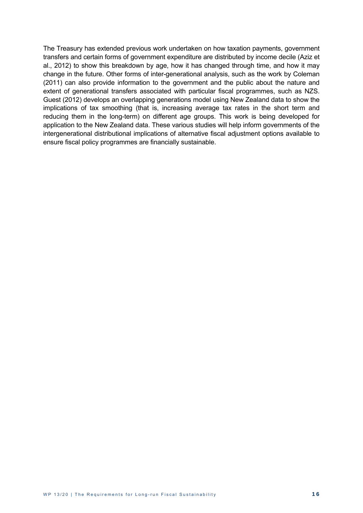The Treasury has extended previous work undertaken on how taxation payments, government transfers and certain forms of government expenditure are distributed by income decile (Aziz et al., 2012) to show this breakdown by age, how it has changed through time, and how it may change in the future. Other forms of inter-generational analysis, such as the work by Coleman (2011) can also provide information to the government and the public about the nature and extent of generational transfers associated with particular fiscal programmes, such as NZS. Guest (2012) develops an overlapping generations model using New Zealand data to show the implications of tax smoothing (that is, increasing average tax rates in the short term and reducing them in the long-term) on different age groups. This work is being developed for application to the New Zealand data. These various studies will help inform governments of the intergenerational distributional implications of alternative fiscal adjustment options available to ensure fiscal policy programmes are financially sustainable.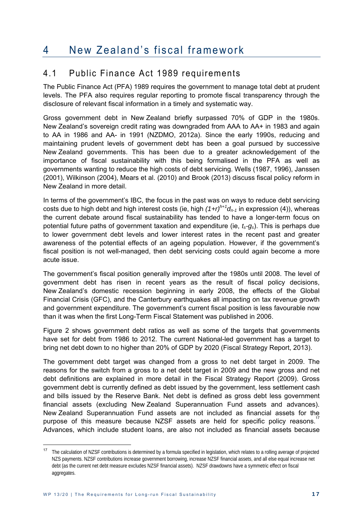### 4 New Zealand's fiscal framework

#### 4.1 Public Finance Act 1989 requirements

The Public Finance Act (PFA) 1989 requires the government to manage total debt at prudent levels. The PFA also requires regular reporting to promote fiscal transparency through the disclosure of relevant fiscal information in a timely and systematic way.

Gross government debt in New Zealand briefly surpassed 70% of GDP in the 1980s. New Zealand's sovereign credit rating was downgraded from AAA to AA+ in 1983 and again to AA in 1986 and AA- in 1991 (NZDMO, 2012a). Since the early 1990s, reducing and maintaining prudent levels of government debt has been a goal pursued by successive New Zealand governments. This has been due to a greater acknowledgement of the importance of fiscal sustainability with this being formalised in the PFA as well as governments wanting to reduce the high costs of debt servicing. Wells (1987, 1996), Janssen (2001), Wilkinson (2004), Mears et al. (2010) and Brook (2013) discuss fiscal policy reform in New Zealand in more detail.

In terms of the government's IBC, the focus in the past was on ways to reduce debt servicing costs due to high debt and high interest costs (ie, high *(1+r)h+1dn-1* in expression (4)), whereas the current debate around fiscal sustainability has tended to have a longer-term focus on potential future paths of government taxation and expenditure (ie, *ts-gs*). This is perhaps due to lower government debt levels and lower interest rates in the recent past and greater awareness of the potential effects of an ageing population. However, if the government's fiscal position is not well-managed, then debt servicing costs could again become a more acute issue.

The government's fiscal position generally improved after the 1980s until 2008. The level of government debt has risen in recent years as the result of fiscal policy decisions, New Zealand's domestic recession beginning in early 2008, the effects of the Global Financial Crisis (GFC), and the Canterbury earthquakes all impacting on tax revenue growth and government expenditure. The government's current fiscal position is less favourable now than it was when the first Long-Term Fiscal Statement was published in 2006.

Figure 2 shows government debt ratios as well as some of the targets that governments have set for debt from 1986 to 2012. The current National-led government has a target to bring net debt down to no higher than 20% of GDP by 2020 (Fiscal Strategy Report, 2013).

The government debt target was changed from a gross to net debt target in 2009. The reasons for the switch from a gross to a net debt target in 2009 and the new gross and net debt definitions are explained in more detail in the Fiscal Strategy Report (2009). Gross government debt is currently defined as debt issued by the government, less settlement cash and bills issued by the Reserve Bank. Net debt is defined as gross debt less government financial assets (excluding New Zealand Superannuation Fund assets and advances). New Zealand Superannuation Fund assets are not included as financial assets for the purpose of this measure because NZSF assets are held for specific policy reasons.<sup>17</sup> Advances, which include student loans, are also not included as financial assets because

<sup>&</sup>lt;sup>17</sup> The calculation of NZSF contributions is determined by a formula specified in legislation, which relates to a rolling average of projected NZS payments. NZSF contributions increase government borrowing, increase NZSF financial assets, and all else equal increase net debt (as the current net debt measure excludes NZSF financial assets). NZSF drawdowns have a symmetric effect on fiscal aggregates.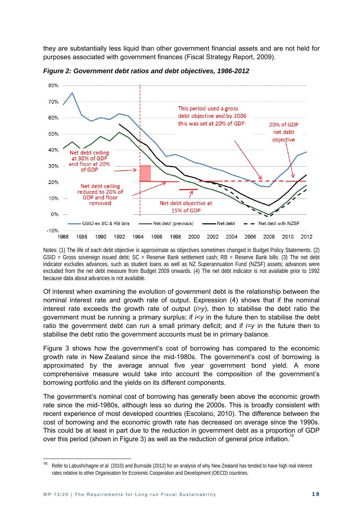they are substantially less liquid than other government financial assets and are not held for purposes associated with government finances (Fiscal Strategy Report, 2009).



*Figure 2: Government debt ratios and debt objectives, 1986-2012* 

Notes: (1) The life of each debt objective is approximate as objectives sometimes changed in Budget Policy Statements. (2) GSID = Gross sovereign issued debt; SC = Reserve Bank settlement cash; RB = Reserve Bank bills. (3) The net debt indicator excludes advances, such as student loans as well as NZ Superannuation Fund (NZSF) assets; advances were excluded from the net debt measure from Budget 2009 onwards. (4) The net debt indicator is not available prior to 1992 because data about advances is not available.

Of interest when examining the evolution of government debt is the relationship between the nominal interest rate and growth rate of output. Expression (4) shows that if the nominal interest rate exceeds the growth rate of output (*i>y*), then to stabilise the debt ratio the government must be running a primary surplus; if *i<y* in the future then to stabilise the debt ratio the government debt can run a small primary deficit; and if *i=y* in the future then to stabilise the debt ratio the government accounts must be in primary balance.

Figure 3 shows how the government's cost of borrowing has compared to the economic growth rate in New Zealand since the mid-1980s. The government's cost of borrowing is approximated by the average annual five year government bond yield. A more comprehensive measure would take into account the composition of the government's borrowing portfolio and the yields on its different components.

The government's nominal cost of borrowing has generally been above the economic growth rate since the mid-1980s, although less so during the 2000s. This is broadly consistent with recent experience of most developed countries (Escolano, 2010). The difference between the cost of borrowing and the economic growth rate has decreased on average since the 1990s. This could be at least in part due to the reduction in government debt as a proportion of GDP over this period (shown in Figure 3) as well as the reduction of general price inflation.<sup>18</sup> i.

<sup>18</sup> Refer to Labushchagne *et al.* (2010) and Burnside (2012) for an analysis of why New Zealand has tended to have high real interest rates relative to other Organisation for Economic Cooperation and Development (OECD) countries.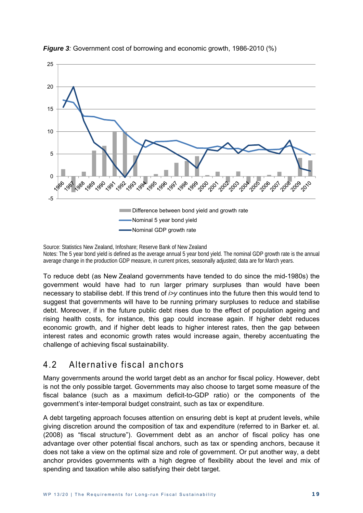



Source: Statistics New Zealand, Infoshare; Reserve Bank of New Zealand Notes: The 5 year bond yield is defined as the average annual 5 year bond yield. The nominal GDP growth rate is the annual average change in the production GDP measure, in current prices, seasonally adjusted; data are for March years.

To reduce debt (as New Zealand governments have tended to do since the mid-1980s) the government would have had to run larger primary surpluses than would have been necessary to stabilise debt. If this trend of *i>y* continues into the future then this would tend to suggest that governments will have to be running primary surpluses to reduce and stabilise debt. Moreover, if in the future public debt rises due to the effect of population ageing and rising health costs, for instance, this gap could increase again. If higher debt reduces economic growth, and if higher debt leads to higher interest rates, then the gap between interest rates and economic growth rates would increase again, thereby accentuating the challenge of achieving fiscal sustainability.

#### 4.2 Alternative fiscal anchors

Many governments around the world target debt as an anchor for fiscal policy. However, debt is not the only possible target. Governments may also choose to target some measure of the fiscal balance (such as a maximum deficit-to-GDP ratio) or the components of the government's inter-temporal budget constraint, such as tax or expenditure.

A debt targeting approach focuses attention on ensuring debt is kept at prudent levels, while giving discretion around the composition of tax and expenditure (referred to in Barker et. al. (2008) as "fiscal structure"). Government debt as an anchor of fiscal policy has one advantage over other potential fiscal anchors, such as tax or spending anchors, because it does not take a view on the optimal size and role of government. Or put another way, a debt anchor provides governments with a high degree of flexibility about the level and mix of spending and taxation while also satisfying their debt target.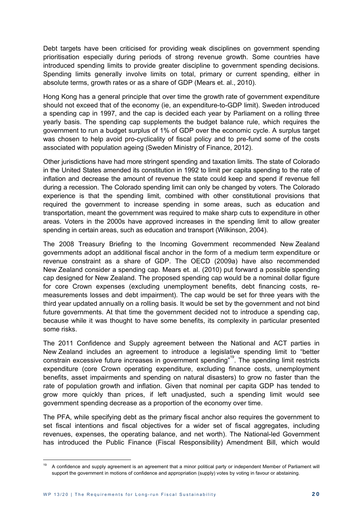Debt targets have been criticised for providing weak disciplines on government spending prioritisation especially during periods of strong revenue growth. Some countries have introduced spending limits to provide greater discipline to government spending decisions. Spending limits generally involve limits on total, primary or current spending, either in absolute terms, growth rates or as a share of GDP (Mears et. al., 2010).

Hong Kong has a general principle that over time the growth rate of government expenditure should not exceed that of the economy (ie, an expenditure-to-GDP limit). Sweden introduced a spending cap in 1997, and the cap is decided each year by Parliament on a rolling three yearly basis. The spending cap supplements the budget balance rule, which requires the government to run a budget surplus of 1% of GDP over the economic cycle. A surplus target was chosen to help avoid pro-cyclicality of fiscal policy and to pre-fund some of the costs associated with population ageing (Sweden Ministry of Finance, 2012).

Other jurisdictions have had more stringent spending and taxation limits. The state of Colorado in the United States amended its constitution in 1992 to limit per capita spending to the rate of inflation and decrease the amount of revenue the state could keep and spend if revenue fell during a recession. The Colorado spending limit can only be changed by voters. The Colorado experience is that the spending limit, combined with other constitutional provisions that required the government to increase spending in some areas, such as education and transportation, meant the government was required to make sharp cuts to expenditure in other areas. Voters in the 2000s have approved increases in the spending limit to allow greater spending in certain areas, such as education and transport (Wilkinson, 2004).

The 2008 Treasury Briefing to the Incoming Government recommended New Zealand governments adopt an additional fiscal anchor in the form of a medium term expenditure or revenue constraint as a share of GDP. The OECD (2009a) have also recommended New Zealand consider a spending cap. Mears et. al. (2010) put forward a possible spending cap designed for New Zealand. The proposed spending cap would be a nominal dollar figure for core Crown expenses (excluding unemployment benefits, debt financing costs, remeasurements losses and debt impairment). The cap would be set for three years with the third year updated annually on a rolling basis. It would be set by the government and not bind future governments. At that time the government decided not to introduce a spending cap, because while it was thought to have some benefits, its complexity in particular presented some risks.

The 2011 Confidence and Supply agreement between the National and ACT parties in New Zealand includes an agreement to introduce a legislative spending limit to "better constrain excessive future increases in government spending"19. The spending limit restricts expenditure (core Crown operating expenditure, excluding finance costs, unemployment benefits, asset impairments and spending on natural disasters) to grow no faster than the rate of population growth and inflation. Given that nominal per capita GDP has tended to grow more quickly than prices, if left unadjusted, such a spending limit would see government spending decrease as a proportion of the economy over time.

The PFA, while specifying debt as the primary fiscal anchor also requires the government to set fiscal intentions and fiscal objectives for a wider set of fiscal aggregates, including revenues, expenses, the operating balance, and net worth). The National-led Government has introduced the Public Finance (Fiscal Responsibility) Amendment Bill, which would

<sup>19</sup> A confidence and supply agreement is an agreement that a minor political party or independent Member of Parliament will support the government in motions of confidence and appropriation (supply) votes by voting in favour or abstaining.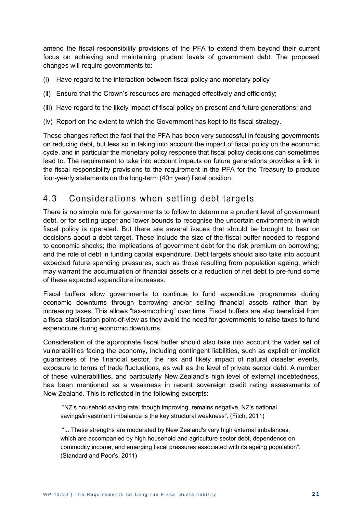amend the fiscal responsibility provisions of the PFA to extend them beyond their current focus on achieving and maintaining prudent levels of government debt. The proposed changes will require governments to:

- (i) Have regard to the interaction between fiscal policy and monetary policy
- (ii) Ensure that the Crown's resources are managed effectively and efficiently;
- (iii) Have regard to the likely impact of fiscal policy on present and future generations; and
- (iv) Report on the extent to which the Government has kept to its fiscal strategy.

These changes reflect the fact that the PFA has been very successful in focusing governments on reducing debt, but less so in taking into account the impact of fiscal policy on the economic cycle, and in particular the monetary policy response that fiscal policy decisions can sometimes lead to. The requirement to take into account impacts on future generations provides a link in the fiscal responsibility provisions to the requirement in the PFA for the Treasury to produce four-yearly statements on the long-term (40+ year) fiscal position.

#### 4.3 Considerations when setting debt targets

There is no simple rule for governments to follow to determine a prudent level of government debt, or for setting upper and lower bounds to recognise the uncertain environment in which fiscal policy is operated. But there are several issues that should be brought to bear on decisions about a debt target. These include the size of the fiscal buffer needed to respond to economic shocks; the implications of government debt for the risk premium on borrowing; and the role of debt in funding capital expenditure. Debt targets should also take into account expected future spending pressures, such as those resulting from population ageing, which may warrant the accumulation of financial assets or a reduction of net debt to pre-fund some of these expected expenditure increases.

Fiscal buffers allow governments to continue to fund expenditure programmes during economic downturns through borrowing and/or selling financial assets rather than by increasing taxes. This allows "tax-smoothing" over time. Fiscal buffers are also beneficial from a fiscal stabilisation point-of-view as they avoid the need for governments to raise taxes to fund expenditure during economic downturns.

Consideration of the appropriate fiscal buffer should also take into account the wider set of vulnerabilities facing the economy, including contingent liabilities, such as explicit or implicit guarantees of the financial sector, the risk and likely impact of natural disaster events, exposure to terms of trade fluctuations, as well as the level of private sector debt. A number of these vulnerabilities, and particularly New Zealand's high level of external indebtedness, has been mentioned as a weakness in recent sovereign credit rating assessments of New Zealand. This is reflected in the following excerpts:

 "NZ's household saving rate, though improving, remains negative. NZ's national savings/investment imbalance is the key structural weakness". (Fitch, 2011)

 "... These strengths are moderated by New Zealand's very high external imbalances, which are accompanied by high household and agriculture sector debt, dependence on commodity income, and emerging fiscal pressures associated with its ageing population". (Standard and Poor's, 2011)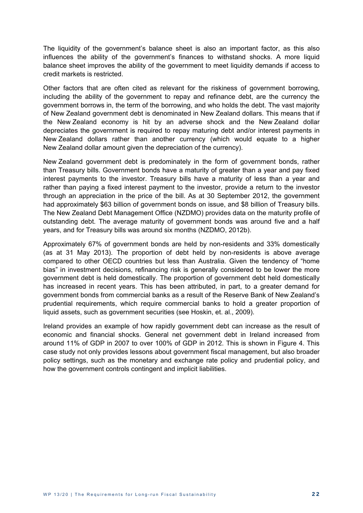The liquidity of the government's balance sheet is also an important factor, as this also influences the ability of the government's finances to withstand shocks. A more liquid balance sheet improves the ability of the government to meet liquidity demands if access to credit markets is restricted.

Other factors that are often cited as relevant for the riskiness of government borrowing, including the ability of the government to repay and refinance debt, are the currency the government borrows in, the term of the borrowing, and who holds the debt. The vast majority of New Zealand government debt is denominated in New Zealand dollars. This means that if the New Zealand economy is hit by an adverse shock and the New Zealand dollar depreciates the government is required to repay maturing debt and/or interest payments in New Zealand dollars rather than another currency (which would equate to a higher New Zealand dollar amount given the depreciation of the currency).

New Zealand government debt is predominately in the form of government bonds, rather than Treasury bills. Government bonds have a maturity of greater than a year and pay fixed interest payments to the investor. Treasury bills have a maturity of less than a year and rather than paying a fixed interest payment to the investor, provide a return to the investor through an appreciation in the price of the bill. As at 30 September 2012, the government had approximately \$63 billion of government bonds on issue, and \$8 billion of Treasury bills. The New Zealand Debt Management Office (NZDMO) provides data on the maturity profile of outstanding debt. The average maturity of government bonds was around five and a half years, and for Treasury bills was around six months (NZDMO, 2012b).

Approximately 67% of government bonds are held by non-residents and 33% domestically (as at 31 May 2013). The proportion of debt held by non-residents is above average compared to other OECD countries but less than Australia. Given the tendency of "home bias" in investment decisions, refinancing risk is generally considered to be lower the more government debt is held domestically. The proportion of government debt held domestically has increased in recent years. This has been attributed, in part, to a greater demand for government bonds from commercial banks as a result of the Reserve Bank of New Zealand's prudential requirements, which require commercial banks to hold a greater proportion of liquid assets, such as government securities (see Hoskin, et. al., 2009).

Ireland provides an example of how rapidly government debt can increase as the result of economic and financial shocks. General net government debt in Ireland increased from around 11% of GDP in 2007 to over 100% of GDP in 2012. This is shown in Figure 4. This case study not only provides lessons about government fiscal management, but also broader policy settings, such as the monetary and exchange rate policy and prudential policy, and how the government controls contingent and implicit liabilities.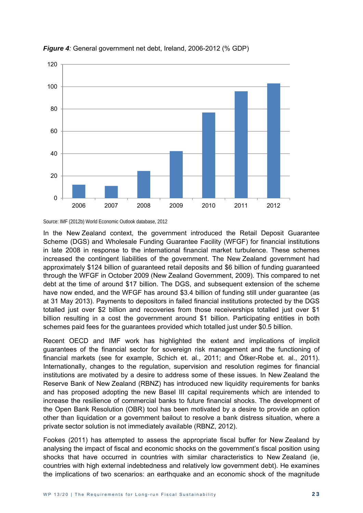



Source: IMF (2012b) World Economic Outlook database, 2012

In the New Zealand context, the government introduced the Retail Deposit Guarantee Scheme (DGS) and Wholesale Funding Guarantee Facility (WFGF) for financial institutions in late 2008 in response to the international financial market turbulence. These schemes increased the contingent liabilities of the government. The New Zealand government had approximately \$124 billion of guaranteed retail deposits and \$6 billion of funding guaranteed through the WFGF in October 2009 (New Zealand Government, 2009). This compared to net debt at the time of around \$17 billion. The DGS, and subsequent extension of the scheme have now ended, and the WFGF has around \$3.4 billion of funding still under guarantee (as at 31 May 2013). Payments to depositors in failed financial institutions protected by the DGS totalled just over \$2 billion and recoveries from those receiverships totalled just over \$1 billion resulting in a cost the government around \$1 billion. Participating entities in both schemes paid fees for the guarantees provided which totalled just under \$0.5 billion.

Recent OECD and IMF work has highlighted the extent and implications of implicit guarantees of the financial sector for sovereign risk management and the functioning of financial markets (see for example, Schich et. al., 2011; and Ötker-Robe et. al., 2011). Internationally, changes to the regulation, supervision and resolution regimes for financial institutions are motivated by a desire to address some of these issues. In New Zealand the Reserve Bank of New Zealand (RBNZ) has introduced new liquidity requirements for banks and has proposed adopting the new Basel III capital requirements which are intended to increase the resilience of commercial banks to future financial shocks. The development of the Open Bank Resolution (OBR) tool has been motivated by a desire to provide an option other than liquidation or a government bailout to resolve a bank distress situation, where a private sector solution is not immediately available (RBNZ, 2012).

Fookes (2011) has attempted to assess the appropriate fiscal buffer for New Zealand by analysing the impact of fiscal and economic shocks on the government's fiscal position using shocks that have occurred in countries with similar characteristics to New Zealand (ie, countries with high external indebtedness and relatively low government debt). He examines the implications of two scenarios: an earthquake and an economic shock of the magnitude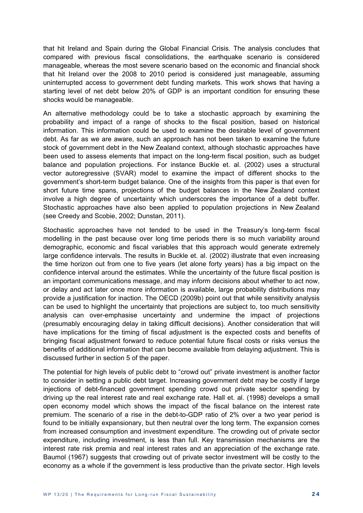that hit Ireland and Spain during the Global Financial Crisis. The analysis concludes that compared with previous fiscal consolidations, the earthquake scenario is considered manageable, whereas the most severe scenario based on the economic and financial shock that hit Ireland over the 2008 to 2010 period is considered just manageable, assuming uninterrupted access to government debt funding markets. This work shows that having a starting level of net debt below 20% of GDP is an important condition for ensuring these shocks would be manageable.

An alternative methodology could be to take a stochastic approach by examining the probability and impact of a range of shocks to the fiscal position, based on historical information. This information could be used to examine the desirable level of government debt. As far as we are aware, such an approach has not been taken to examine the future stock of government debt in the New Zealand context, although stochastic approaches have been used to assess elements that impact on the long-term fiscal position, such as budget balance and population projections. For instance Buckle et. al. (2002) uses a structural vector autoregressive (SVAR) model to examine the impact of different shocks to the government's short-term budget balance. One of the insights from this paper is that even for short future time spans, projections of the budget balances in the New Zealand context involve a high degree of uncertainty which underscores the importance of a debt buffer. Stochastic approaches have also been applied to population projections in New Zealand (see Creedy and Scobie, 2002; Dunstan, 2011).

Stochastic approaches have not tended to be used in the Treasury's long-term fiscal modelling in the past because over long time periods there is so much variability around demographic, economic and fiscal variables that this approach would generate extremely large confidence intervals. The results in Buckle et. al. (2002) illustrate that even increasing the time horizon out from one to five years (let alone forty years) has a big impact on the confidence interval around the estimates. While the uncertainty of the future fiscal position is an important communications message, and may inform decisions about whether to act now, or delay and act later once more information is available, large probability distributions may provide a justification for inaction. The OECD (2009b) point out that while sensitivity analysis can be used to highlight the uncertainty that projections are subject to, too much sensitivity analysis can over-emphasise uncertainty and undermine the impact of projections (presumably encouraging delay in taking difficult decisions). Another consideration that will have implications for the timing of fiscal adjustment is the expected costs and benefits of bringing fiscal adjustment forward to reduce potential future fiscal costs or risks versus the benefits of additional information that can become available from delaying adjustment. This is discussed further in section 5 of the paper.

The potential for high levels of public debt to "crowd out" private investment is another factor to consider in setting a public debt target. Increasing government debt may be costly if large injections of debt-financed government spending crowd out private sector spending by driving up the real interest rate and real exchange rate. Hall et. al. (1998) develops a small open economy model which shows the impact of the fiscal balance on the interest rate premium. The scenario of a rise in the debt-to-GDP ratio of 2% over a two year period is found to be initially expansionary, but then neutral over the long term. The expansion comes from increased consumption and investment expenditure. The crowding out of private sector expenditure, including investment, is less than full. Key transmission mechanisms are the interest rate risk premia and real interest rates and an appreciation of the exchange rate. Baumol (1967) suggests that crowding out of private sector investment will be costly to the economy as a whole if the government is less productive than the private sector. High levels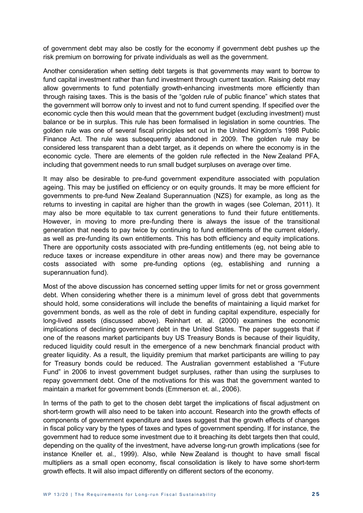of government debt may also be costly for the economy if government debt pushes up the risk premium on borrowing for private individuals as well as the government.

Another consideration when setting debt targets is that governments may want to borrow to fund capital investment rather than fund investment through current taxation. Raising debt may allow governments to fund potentially growth-enhancing investments more efficiently than through raising taxes. This is the basis of the "golden rule of public finance" which states that the government will borrow only to invest and not to fund current spending. If specified over the economic cycle then this would mean that the government budget (excluding investment) must balance or be in surplus. This rule has been formalised in legislation in some countries. The golden rule was one of several fiscal principles set out in the United Kingdom's 1998 Public Finance Act. The rule was subsequently abandoned in 2009. The golden rule may be considered less transparent than a debt target, as it depends on where the economy is in the economic cycle. There are elements of the golden rule reflected in the New Zealand PFA, including that government needs to run small budget surpluses on average over time.

It may also be desirable to pre-fund government expenditure associated with population ageing. This may be justified on efficiency or on equity grounds. It may be more efficient for governments to pre-fund New Zealand Superannuation (NZS) for example, as long as the returns to investing in capital are higher than the growth in wages (see Coleman, 2011). It may also be more equitable to tax current generations to fund their future entitlements. However, in moving to more pre-funding there is always the issue of the transitional generation that needs to pay twice by continuing to fund entitlements of the current elderly, as well as pre-funding its own entitlements. This has both efficiency and equity implications. There are opportunity costs associated with pre-funding entitlements (eg, not being able to reduce taxes or increase expenditure in other areas now) and there may be governance costs associated with some pre-funding options (eg, establishing and running a superannuation fund).

Most of the above discussion has concerned setting upper limits for net or gross government debt. When considering whether there is a minimum level of gross debt that governments should hold, some considerations will include the benefits of maintaining a liquid market for government bonds, as well as the role of debt in funding capital expenditure, especially for long-lived assets (discussed above). Reinhart et. al. (2000) examines the economic implications of declining government debt in the United States. The paper suggests that if one of the reasons market participants buy US Treasury Bonds is because of their liquidity, reduced liquidity could result in the emergence of a new benchmark financial product with greater liquidity. As a result, the liquidity premium that market participants are willing to pay for Treasury bonds could be reduced. The Australian government established a "Future Fund" in 2006 to invest government budget surpluses, rather than using the surpluses to repay government debt. One of the motivations for this was that the government wanted to maintain a market for government bonds (Emmerson et. al., 2006).

In terms of the path to get to the chosen debt target the implications of fiscal adjustment on short-term growth will also need to be taken into account. Research into the growth effects of components of government expenditure and taxes suggest that the growth effects of changes in fiscal policy vary by the types of taxes and types of government spending. If for instance, the government had to reduce some investment due to it breaching its debt targets then that could, depending on the quality of the investment, have adverse long-run growth implications (see for instance Kneller et. al., 1999). Also, while New Zealand is thought to have small fiscal multipliers as a small open economy, fiscal consolidation is likely to have some short-term growth effects. It will also impact differently on different sectors of the economy.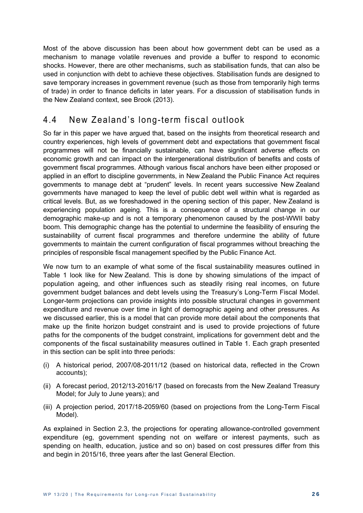Most of the above discussion has been about how government debt can be used as a mechanism to manage volatile revenues and provide a buffer to respond to economic shocks. However, there are other mechanisms, such as stabilisation funds, that can also be used in conjunction with debt to achieve these objectives. Stabilisation funds are designed to save temporary increases in government revenue (such as those from temporarily high terms of trade) in order to finance deficits in later years. For a discussion of stabilisation funds in the New Zealand context, see Brook (2013).

### 4.4 New Zealand's long-term fiscal outlook

So far in this paper we have argued that, based on the insights from theoretical research and country experiences, high levels of government debt and expectations that government fiscal programmes will not be financially sustainable, can have significant adverse effects on economic growth and can impact on the intergenerational distribution of benefits and costs of government fiscal programmes. Although various fiscal anchors have been either proposed or applied in an effort to discipline governments, in New Zealand the Public Finance Act requires governments to manage debt at "prudent" levels. In recent years successive New Zealand governments have managed to keep the level of public debt well within what is regarded as critical levels. But, as we foreshadowed in the opening section of this paper, New Zealand is experiencing population ageing. This is a consequence of a structural change in our demographic make-up and is not a temporary phenomenon caused by the post-WWII baby boom. This demographic change has the potential to undermine the feasibility of ensuring the sustainability of current fiscal programmes and therefore undermine the ability of future governments to maintain the current configuration of fiscal programmes without breaching the principles of responsible fiscal management specified by the Public Finance Act.

We now turn to an example of what some of the fiscal sustainability measures outlined in Table 1 look like for New Zealand. This is done by showing simulations of the impact of population ageing, and other influences such as steadily rising real incomes, on future government budget balances and debt levels using the Treasury's Long-Term Fiscal Model. Longer-term projections can provide insights into possible structural changes in government expenditure and revenue over time in light of demographic ageing and other pressures. As we discussed earlier, this is a model that can provide more detail about the components that make up the finite horizon budget constraint and is used to provide projections of future paths for the components of the budget constraint, implications for government debt and the components of the fiscal sustainability measures outlined in Table 1. Each graph presented in this section can be split into three periods:

- (i) A historical period, 2007/08-2011/12 (based on historical data, reflected in the Crown accounts);
- (ii) A forecast period, 2012/13-2016/17 (based on forecasts from the New Zealand Treasury Model; for July to June years); and
- (iii) A projection period, 2017/18-2059/60 (based on projections from the Long-Term Fiscal Model).

As explained in Section 2.3, the projections for operating allowance-controlled government expenditure (eg, government spending not on welfare or interest payments, such as spending on health, education, justice and so on) based on cost pressures differ from this and begin in 2015/16, three years after the last General Election.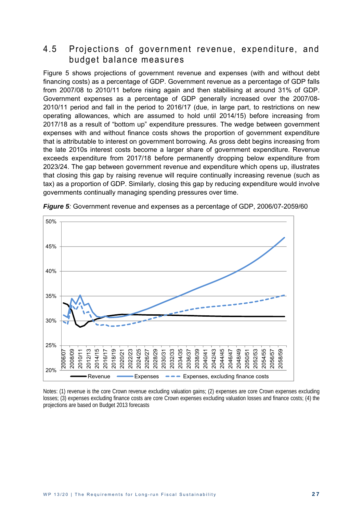#### 4.5 Projections of government revenue, expenditure, and budget balance measures

Figure 5 shows projections of government revenue and expenses (with and without debt financing costs) as a percentage of GDP. Government revenue as a percentage of GDP falls from 2007/08 to 2010/11 before rising again and then stabilising at around 31% of GDP. Government expenses as a percentage of GDP generally increased over the 2007/08- 2010/11 period and fall in the period to 2016/17 (due, in large part, to restrictions on new operating allowances, which are assumed to hold until 2014/15) before increasing from 2017/18 as a result of "bottom up" expenditure pressures. The wedge between government expenses with and without finance costs shows the proportion of government expenditure that is attributable to interest on government borrowing. As gross debt begins increasing from the late 2010s interest costs become a larger share of government expenditure. Revenue exceeds expenditure from 2017/18 before permanently dropping below expenditure from 2023/24. The gap between government revenue and expenditure which opens up, illustrates that closing this gap by raising revenue will require continually increasing revenue (such as tax) as a proportion of GDP. Similarly, closing this gap by reducing expenditure would involve governments continually managing spending pressures over time.



*Figure 5:* Government revenue and expenses as a percentage of GDP, 2006/07-2059/60

Notes: (1) revenue is the core Crown revenue excluding valuation gains; (2) expenses are core Crown expenses excluding losses; (3) expenses excluding finance costs are core Crown expenses excluding valuation losses and finance costs; (4) the projections are based on Budget 2013 forecasts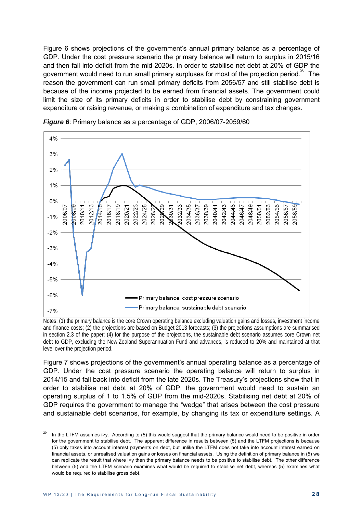Figure 6 shows projections of the government's annual primary balance as a percentage of GDP. Under the cost pressure scenario the primary balance will return to surplus in 2015/16 and then fall into deficit from the mid-2020s. In order to stabilise net debt at 20% of GDP the government would need to run small primary surpluses for most of the projection period.<sup>20</sup> The reason the government can run small primary deficits from 2056/57 and still stabilise debt is because of the income projected to be earned from financial assets. The government could limit the size of its primary deficits in order to stabilise debt by constraining government expenditure or raising revenue, or making a combination of expenditure and tax changes.



*Figure 6*: Primary balance as a percentage of GDP, 2006/07-2059/60

Notes: (1) the primary balance is the core Crown operating balance excluding valuation gains and losses, investment income and finance costs; (2) the projections are based on Budget 2013 forecasts; (3) the projections assumptions are summarised in section 2.3 of the paper; (4) for the purpose of the projections, the sustainable debt scenario assumes core Crown net debt to GDP, excluding the New Zealand Superannuation Fund and advances, is reduced to 20% and maintained at that level over the projection period.

Figure 7 shows projections of the government's annual operating balance as a percentage of GDP. Under the cost pressure scenario the operating balance will return to surplus in 2014/15 and fall back into deficit from the late 2020s. The Treasury's projections show that in order to stabilise net debt at 20% of GDP, the government would need to sustain an operating surplus of 1 to 1.5% of GDP from the mid-2020s. Stabilising net debt at 20% of GDP requires the government to manage the "wedge" that arises between the cost pressure and sustainable debt scenarios, for example, by changing its tax or expenditure settings. A

In the LTFM assumes i>y. According to (5) this would suggest that the primary balance would need to be positive in order for the government to stabilise debt. The apparent difference in results between (5) and the LTFM projections is because (5) only takes into account interest payments on debt, but unlike the LTFM does not take into account interest earned on financial assets, or unrealised valuation gains or losses on financial assets. Using the definition of primary balance in (5) we can replicate the result that where i>y then the primary balance needs to be positive to stabilise debt. The other difference between (5) and the LTFM scenario examines what would be required to stabilise net debt, whereas (5) examines what would be required to stabilise gross debt.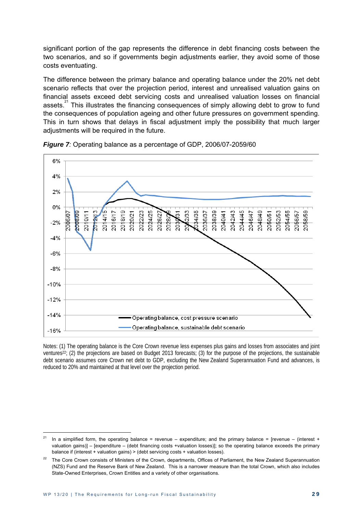significant portion of the gap represents the difference in debt financing costs between the two scenarios, and so if governments begin adjustments earlier, they avoid some of those costs eventuating.

The difference between the primary balance and operating balance under the 20% net debt scenario reflects that over the projection period, interest and unrealised valuation gains on financial assets exceed debt servicing costs and unrealised valuation losses on financial assets.<sup>21</sup> This illustrates the financing consequences of simply allowing debt to grow to fund the consequences of population ageing and other future pressures on government spending. This in turn shows that delays in fiscal adjustment imply the possibility that much larger adjustments will be required in the future.





Notes: (1) The operating balance is the Core Crown revenue less expenses plus gains and losses from associates and joint ventures<sup>22</sup>; (2) the projections are based on Budget 2013 forecasts; (3) for the purpose of the projections, the sustainable debt scenario assumes core Crown net debt to GDP, excluding the New Zealand Superannuation Fund and advances, is reduced to 20% and maintained at that level over the projection period.

In a simplified form, the operating balance = revenue – expenditure; and the primary balance = [revenue – (interest + valuation gains)] – [expenditure – (debt financing costs +valuation losses)]; so the operating balance exceeds the primary balance if (interest + valuation gains) > (debt servicing costs + valuation losses).

<sup>&</sup>lt;sup>22</sup> The Core Crown consists of Ministers of the Crown, departments, Offices of Parliament, the New Zealand Superannuation (NZS) Fund and the Reserve Bank of New Zealand. This is a narrower measure than the total Crown, which also includes State-Owned Enterprises, Crown Entitles and a variety of other organisations.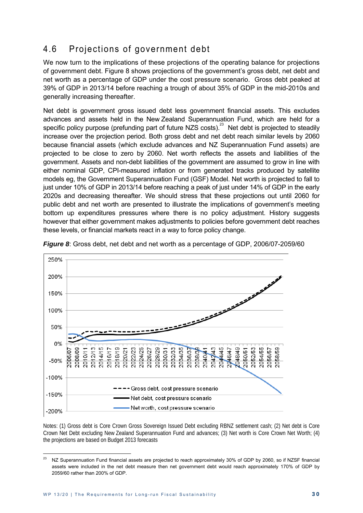### 4.6 Projections of government debt

We now turn to the implications of these projections of the operating balance for projections of government debt. Figure 8 shows projections of the government's gross debt, net debt and net worth as a percentage of GDP under the cost pressure scenario. Gross debt peaked at 39% of GDP in 2013/14 before reaching a trough of about 35% of GDP in the mid-2010s and generally increasing thereafter.

Net debt is government gross issued debt less government financial assets. This excludes advances and assets held in the New Zealand Superannuation Fund, which are held for a specific policy purpose (prefunding part of future NZS costs).<sup>23</sup> Net debt is projected to steadily increase over the projection period. Both gross debt and net debt reach similar levels by 2060 because financial assets (which exclude advances and NZ Superannuation Fund assets) are projected to be close to zero by 2060. Net worth reflects the assets and liabilities of the government. Assets and non-debt liabilities of the government are assumed to grow in line with either nominal GDP, CPI-measured inflation or from generated tracks produced by satellite models eg, the Government Superannuation Fund (GSF) Model. Net worth is projected to fall to just under 10% of GDP in 2013/14 before reaching a peak of just under 14% of GDP in the early 2020s and decreasing thereafter. We should stress that these projections out until 2060 for public debt and net worth are presented to illustrate the implications of government's meeting bottom up expenditures pressures where there is no policy adjustment. History suggests however that either government makes adjustments to policies before government debt reaches these levels, or financial markets react in a way to force policy change.



*Figure 8*: Gross debt, net debt and net worth as a percentage of GDP, 2006/07-2059/60

Notes: (1) Gross debt is Core Crown Gross Sovereign Issued Debt excluding RBNZ settlement cash; (2) Net debt is Core Crown Net Debt excluding New Zealand Superannuation Fund and advances; (3) Net worth is Core Crown Net Worth; (4) the projections are based on Budget 2013 forecasts

<sup>&</sup>lt;sup>23</sup> NZ Superannuation Fund financial assets are projected to reach approximately 30% of GDP by 2060, so if NZSF financial assets were included in the net debt measure then net government debt would reach approximately 170% of GDP by 2059/60 rather than 200% of GDP.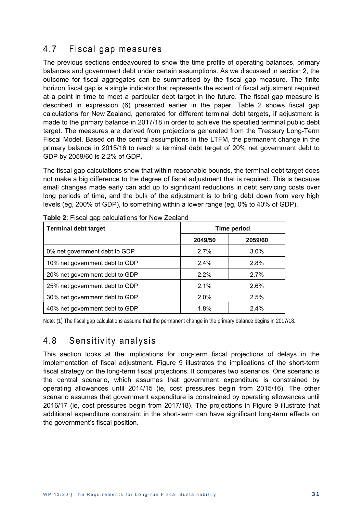### 4.7 Fiscal gap measures

The previous sections endeavoured to show the time profile of operating balances, primary balances and government debt under certain assumptions. As we discussed in section 2, the outcome for fiscal aggregates can be summarised by the fiscal gap measure. The finite horizon fiscal gap is a single indicator that represents the extent of fiscal adjustment required at a point in time to meet a particular debt target in the future. The fiscal gap measure is described in expression (6) presented earlier in the paper. Table 2 shows fiscal gap calculations for New Zealand, generated for different terminal debt targets, if adjustment is made to the primary balance in 2017/18 in order to achieve the specified terminal public debt target. The measures are derived from projections generated from the Treasury Long-Term Fiscal Model. Based on the central assumptions in the LTFM, the permanent change in the primary balance in 2015/16 to reach a terminal debt target of 20% net government debt to GDP by 2059/60 is 2.2% of GDP.

The fiscal gap calculations show that within reasonable bounds, the terminal debt target does not make a big difference to the degree of fiscal adjustment that is required. This is because small changes made early can add up to significant reductions in debt servicing costs over long periods of time, and the bulk of the adjustment is to bring debt down from very high levels (eg, 200% of GDP), to something within a lower range (eg, 0% to 40% of GDP).

| <b>Terminal debt target</b>    | <b>Time period</b> |         |  |
|--------------------------------|--------------------|---------|--|
|                                | 2049/50            | 2059/60 |  |
| 0% net government debt to GDP  | 2.7%               | 3.0%    |  |
| 10% net government debt to GDP | 2.4%               | 2.8%    |  |
| 20% net government debt to GDP | 2.2%               | 2.7%    |  |
| 25% net government debt to GDP | 2.1%               | 2.6%    |  |
| 30% net government debt to GDP | 2.0%               | 2.5%    |  |
| 40% net government debt to GDP | 1.8%               | 2.4%    |  |

**Table 2**: Fiscal gap calculations for New Zealand

Note: (1) The fiscal gap calculations assume that the permanent change in the primary balance begins in 2017/18.

#### 4.8 Sensitivity analysis

This section looks at the implications for long-term fiscal projections of delays in the implementation of fiscal adjustment. Figure 9 illustrates the implications of the short-term fiscal strategy on the long-term fiscal projections. It compares two scenarios. One scenario is the central scenario, which assumes that government expenditure is constrained by operating allowances until 2014/15 (ie, cost pressures begin from 2015/16). The other scenario assumes that government expenditure is constrained by operating allowances until 2016/17 (ie, cost pressures begin from 2017/18). The projections in Figure 9 illustrate that additional expenditure constraint in the short-term can have significant long-term effects on the government's fiscal position.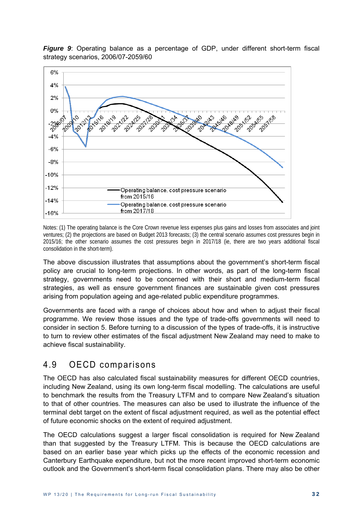

*Figure 9:* Operating balance as a percentage of GDP, under different short-term fiscal strategy scenarios, 2006/07-2059/60

Notes: (1) The operating balance is the Core Crown revenue less expenses plus gains and losses from associates and joint ventures; (2) the projections are based on Budget 2013 forecasts; (3) the central scenario assumes cost pressures begin in 2015/16; the other scenario assumes the cost pressures begin in 2017/18 (ie, there are two years additional fiscal consolidation in the short-term).

The above discussion illustrates that assumptions about the government's short-term fiscal policy are crucial to long-term projections. In other words, as part of the long-term fiscal strategy, governments need to be concerned with their short and medium-term fiscal strategies, as well as ensure government finances are sustainable given cost pressures arising from population ageing and age-related public expenditure programmes.

Governments are faced with a range of choices about how and when to adjust their fiscal programme. We review those issues and the type of trade-offs governments will need to consider in section 5. Before turning to a discussion of the types of trade-offs, it is instructive to turn to review other estimates of the fiscal adjustment New Zealand may need to make to achieve fiscal sustainability.

#### 4.9 OECD comparisons

The OECD has also calculated fiscal sustainability measures for different OECD countries, including New Zealand, using its own long-term fiscal modelling. The calculations are useful to benchmark the results from the Treasury LTFM and to compare New Zealand's situation to that of other countries. The measures can also be used to illustrate the influence of the terminal debt target on the extent of fiscal adjustment required, as well as the potential effect of future economic shocks on the extent of required adjustment.

The OECD calculations suggest a larger fiscal consolidation is required for New Zealand than that suggested by the Treasury LTFM. This is because the OECD calculations are based on an earlier base year which picks up the effects of the economic recession and Canterbury Earthquake expenditure, but not the more recent improved short-term economic outlook and the Government's short-term fiscal consolidation plans. There may also be other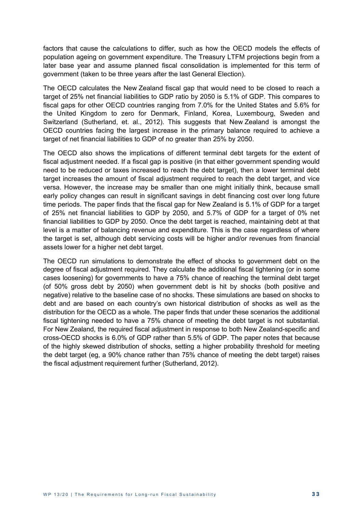factors that cause the calculations to differ, such as how the OECD models the effects of population ageing on government expenditure. The Treasury LTFM projections begin from a later base year and assume planned fiscal consolidation is implemented for this term of government (taken to be three years after the last General Election).

The OECD calculates the New Zealand fiscal gap that would need to be closed to reach a target of 25% net financial liabilities to GDP ratio by 2050 is 5.1% of GDP. This compares to fiscal gaps for other OECD countries ranging from 7.0% for the United States and 5.6% for the United Kingdom to zero for Denmark, Finland, Korea, Luxembourg, Sweden and Switzerland (Sutherland, et. al., 2012). This suggests that New Zealand is amongst the OECD countries facing the largest increase in the primary balance required to achieve a target of net financial liabilities to GDP of no greater than 25% by 2050.

The OECD also shows the implications of different terminal debt targets for the extent of fiscal adjustment needed. If a fiscal gap is positive (in that either government spending would need to be reduced or taxes increased to reach the debt target), then a lower terminal debt target increases the amount of fiscal adjustment required to reach the debt target, and vice versa. However, the increase may be smaller than one might initially think, because small early policy changes can result in significant savings in debt financing cost over long future time periods. The paper finds that the fiscal gap for New Zealand is 5.1% of GDP for a target of 25% net financial liabilities to GDP by 2050, and 5.7% of GDP for a target of 0% net financial liabilities to GDP by 2050. Once the debt target is reached, maintaining debt at that level is a matter of balancing revenue and expenditure. This is the case regardless of where the target is set, although debt servicing costs will be higher and/or revenues from financial assets lower for a higher net debt target.

The OECD run simulations to demonstrate the effect of shocks to government debt on the degree of fiscal adjustment required. They calculate the additional fiscal tightening (or in some cases loosening) for governments to have a 75% chance of reaching the terminal debt target (of 50% gross debt by 2050) when government debt is hit by shocks (both positive and negative) relative to the baseline case of no shocks. These simulations are based on shocks to debt and are based on each country's own historical distribution of shocks as well as the distribution for the OECD as a whole. The paper finds that under these scenarios the additional fiscal tightening needed to have a 75% chance of meeting the debt target is not substantial. For New Zealand, the required fiscal adjustment in response to both New Zealand-specific and cross-OECD shocks is 6.0% of GDP rather than 5.5% of GDP. The paper notes that because of the highly skewed distribution of shocks, setting a higher probability threshold for meeting the debt target (eg, a 90% chance rather than 75% chance of meeting the debt target) raises the fiscal adjustment requirement further (Sutherland, 2012).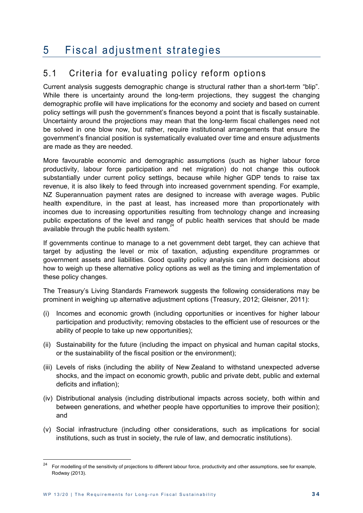### 5 Fiscal adjustment strategies

### 5.1 Criteria for evaluating policy reform options

Current analysis suggests demographic change is structural rather than a short-term "blip". While there is uncertainty around the long-term projections, they suggest the changing demographic profile will have implications for the economy and society and based on current policy settings will push the government's finances beyond a point that is fiscally sustainable. Uncertainty around the projections may mean that the long-term fiscal challenges need not be solved in one blow now, but rather, require institutional arrangements that ensure the government's financial position is systematically evaluated over time and ensure adjustments are made as they are needed.

More favourable economic and demographic assumptions (such as higher labour force productivity, labour force participation and net migration) do not change this outlook substantially under current policy settings, because while higher GDP tends to raise tax revenue, it is also likely to feed through into increased government spending. For example, NZ Superannuation payment rates are designed to increase with average wages. Public health expenditure, in the past at least, has increased more than proportionately with incomes due to increasing opportunities resulting from technology change and increasing public expectations of the level and range of public health services that should be made available through the public health system.<sup>24</sup>

If governments continue to manage to a net government debt target, they can achieve that target by adjusting the level or mix of taxation, adjusting expenditure programmes or government assets and liabilities. Good quality policy analysis can inform decisions about how to weigh up these alternative policy options as well as the timing and implementation of these policy changes.

The Treasury's Living Standards Framework suggests the following considerations may be prominent in weighing up alternative adjustment options (Treasury, 2012; Gleisner, 2011):

- (i) Incomes and economic growth (including opportunities or incentives for higher labour participation and productivity; removing obstacles to the efficient use of resources or the ability of people to take up new opportunities);
- (ii) Sustainability for the future (including the impact on physical and human capital stocks, or the sustainability of the fiscal position or the environment);
- (iii) Levels of risks (including the ability of New Zealand to withstand unexpected adverse shocks, and the impact on economic growth, public and private debt, public and external deficits and inflation);
- (iv) Distributional analysis (including distributional impacts across society, both within and between generations, and whether people have opportunities to improve their position); and
- (v) Social infrastructure (including other considerations, such as implications for social institutions, such as trust in society, the rule of law, and democratic institutions).

<sup>24</sup> For modelling of the sensitivity of projections to different labour force, productivity and other assumptions, see for example, Rodway (2013).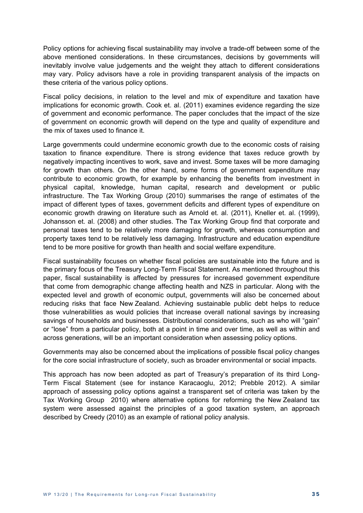Policy options for achieving fiscal sustainability may involve a trade-off between some of the above mentioned considerations. In these circumstances, decisions by governments will inevitably involve value judgements and the weight they attach to different considerations may vary. Policy advisors have a role in providing transparent analysis of the impacts on these criteria of the various policy options.

Fiscal policy decisions, in relation to the level and mix of expenditure and taxation have implications for economic growth. Cook et. al. (2011) examines evidence regarding the size of government and economic performance. The paper concludes that the impact of the size of government on economic growth will depend on the type and quality of expenditure and the mix of taxes used to finance it.

Large governments could undermine economic growth due to the economic costs of raising taxation to finance expenditure. There is strong evidence that taxes reduce growth by negatively impacting incentives to work, save and invest. Some taxes will be more damaging for growth than others. On the other hand, some forms of government expenditure may contribute to economic growth, for example by enhancing the benefits from investment in physical capital, knowledge, human capital, research and development or public infrastructure. The Tax Working Group (2010) summarises the range of estimates of the impact of different types of taxes, government deficits and different types of expenditure on economic growth drawing on literature such as Arnold et. al. (2011), Kneller et. al. (1999), Johansson et. al. (2008) and other studies. The Tax Working Group find that corporate and personal taxes tend to be relatively more damaging for growth, whereas consumption and property taxes tend to be relatively less damaging. Infrastructure and education expenditure tend to be more positive for growth than health and social welfare expenditure.

Fiscal sustainability focuses on whether fiscal policies are sustainable into the future and is the primary focus of the Treasury Long-Term Fiscal Statement. As mentioned throughout this paper, fiscal sustainability is affected by pressures for increased government expenditure that come from demographic change affecting health and NZS in particular. Along with the expected level and growth of economic output, governments will also be concerned about reducing risks that face New Zealand. Achieving sustainable public debt helps to reduce those vulnerabilities as would policies that increase overall national savings by increasing savings of households and businesses. Distributional considerations, such as who will "gain" or "lose" from a particular policy, both at a point in time and over time, as well as within and across generations, will be an important consideration when assessing policy options.

Governments may also be concerned about the implications of possible fiscal policy changes for the core social infrastructure of society, such as broader environmental or social impacts.

This approach has now been adopted as part of Treasury's preparation of its third Long-Term Fiscal Statement (see for instance Karacaoglu, 2012; Prebble 2012). A similar approach of assessing policy options against a transparent set of criteria was taken by the Tax Working Group 2010) where alternative options for reforming the New Zealand tax system were assessed against the principles of a good taxation system, an approach described by Creedy (2010) as an example of rational policy analysis.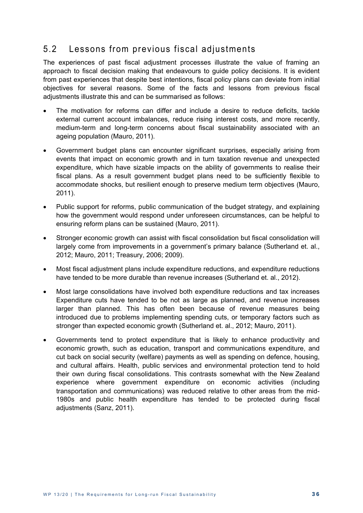### 5.2 Lessons from previous fiscal adjustments

The experiences of past fiscal adjustment processes illustrate the value of framing an approach to fiscal decision making that endeavours to guide policy decisions. It is evident from past experiences that despite best intentions, fiscal policy plans can deviate from initial objectives for several reasons. Some of the facts and lessons from previous fiscal adjustments illustrate this and can be summarised as follows:

- The motivation for reforms can differ and include a desire to reduce deficits, tackle external current account imbalances, reduce rising interest costs, and more recently, medium-term and long-term concerns about fiscal sustainability associated with an ageing population (Mauro, 2011).
- Government budget plans can encounter significant surprises, especially arising from events that impact on economic growth and in turn taxation revenue and unexpected expenditure, which have sizable impacts on the ability of governments to realise their fiscal plans. As a result government budget plans need to be sufficiently flexible to accommodate shocks, but resilient enough to preserve medium term objectives (Mauro, 2011).
- Public support for reforms, public communication of the budget strategy, and explaining how the government would respond under unforeseen circumstances, can be helpful to ensuring reform plans can be sustained (Mauro, 2011).
- Stronger economic growth can assist with fiscal consolidation but fiscal consolidation will largely come from improvements in a government's primary balance (Sutherland et. al., 2012; Mauro, 2011; Treasury, 2006; 2009).
- Most fiscal adjustment plans include expenditure reductions, and expenditure reductions have tended to be more durable than revenue increases (Sutherland et. al., 2012).
- Most large consolidations have involved both expenditure reductions and tax increases Expenditure cuts have tended to be not as large as planned, and revenue increases larger than planned. This has often been because of revenue measures being introduced due to problems implementing spending cuts, or temporary factors such as stronger than expected economic growth (Sutherland et. al., 2012; Mauro, 2011).
- Governments tend to protect expenditure that is likely to enhance productivity and economic growth, such as education, transport and communications expenditure, and cut back on social security (welfare) payments as well as spending on defence, housing, and cultural affairs. Health, public services and environmental protection tend to hold their own during fiscal consolidations. This contrasts somewhat with the New Zealand experience where government expenditure on economic activities (including transportation and communications) was reduced relative to other areas from the mid-1980s and public health expenditure has tended to be protected during fiscal adjustments (Sanz, 2011).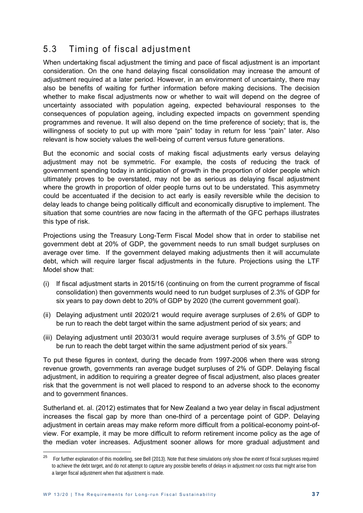### 5.3 Timing of fiscal adjustment

When undertaking fiscal adjustment the timing and pace of fiscal adjustment is an important consideration. On the one hand delaying fiscal consolidation may increase the amount of adjustment required at a later period. However, in an environment of uncertainty, there may also be benefits of waiting for further information before making decisions. The decision whether to make fiscal adjustments now or whether to wait will depend on the degree of uncertainty associated with population ageing, expected behavioural responses to the consequences of population ageing, including expected impacts on government spending programmes and revenue. It will also depend on the time preference of society; that is, the willingness of society to put up with more "pain" today in return for less "pain" later. Also relevant is how society values the well-being of current versus future generations.

But the economic and social costs of making fiscal adjustments early versus delaying adjustment may not be symmetric. For example, the costs of reducing the track of government spending today in anticipation of growth in the proportion of older people which ultimately proves to be overstated, may not be as serious as delaying fiscal adjustment where the growth in proportion of older people turns out to be understated. This asymmetry could be accentuated if the decision to act early is easily reversible while the decision to delay leads to change being politically difficult and economically disruptive to implement. The situation that some countries are now facing in the aftermath of the GFC perhaps illustrates this type of risk.

Projections using the Treasury Long-Term Fiscal Model show that in order to stabilise net government debt at 20% of GDP, the government needs to run small budget surpluses on average over time. If the government delayed making adjustments then it will accumulate debt, which will require larger fiscal adjustments in the future. Projections using the LTF Model show that:

- (i) If fiscal adjustment starts in 2015/16 (continuing on from the current programme of fiscal consolidation) then governments would need to run budget surpluses of 2.3% of GDP for six years to pay down debt to 20% of GDP by 2020 (the current government goal).
- (ii) Delaying adjustment until 2020/21 would require average surpluses of 2.6% of GDP to be run to reach the debt target within the same adjustment period of six years; and
- (iii) Delaying adjustment until 2030/31 would require average surpluses of 3.5% of GDP to be run to reach the debt target within the same adjustment period of six years.<sup>2</sup>

To put these figures in context, during the decade from 1997-2006 when there was strong revenue growth, governments ran average budget surpluses of 2% of GDP. Delaying fiscal adjustment, in addition to requiring a greater degree of fiscal adjustment, also places greater risk that the government is not well placed to respond to an adverse shock to the economy and to government finances.

Sutherland et. al. (2012) estimates that for New Zealand a two year delay in fiscal adjustment increases the fiscal gap by more than one-third of a percentage point of GDP. Delaying adjustment in certain areas may make reform more difficult from a political-economy point-ofview. For example, it may be more difficult to reform retirement income policy as the age of the median voter increases. Adjustment sooner allows for more gradual adjustment and

<sup>25</sup> <sup>25</sup> For further explanation of this modelling, see Bell (2013). Note that these simulations only show the extent of fiscal surpluses required to achieve the debt target, and do not attempt to capture any possible benefits of delays in adjustment nor costs that might arise from a larger fiscal adjustment when that adjustment is made.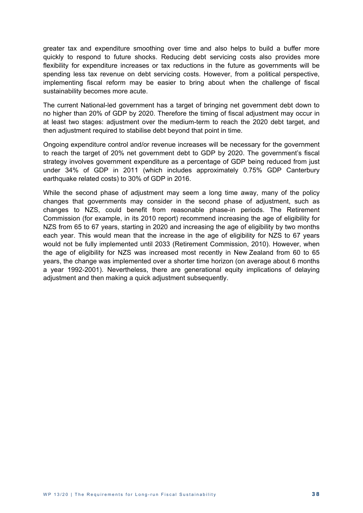greater tax and expenditure smoothing over time and also helps to build a buffer more quickly to respond to future shocks. Reducing debt servicing costs also provides more flexibility for expenditure increases or tax reductions in the future as governments will be spending less tax revenue on debt servicing costs. However, from a political perspective, implementing fiscal reform may be easier to bring about when the challenge of fiscal sustainability becomes more acute.

The current National-led government has a target of bringing net government debt down to no higher than 20% of GDP by 2020. Therefore the timing of fiscal adjustment may occur in at least two stages: adjustment over the medium-term to reach the 2020 debt target, and then adjustment required to stabilise debt beyond that point in time.

Ongoing expenditure control and/or revenue increases will be necessary for the government to reach the target of 20% net government debt to GDP by 2020. The government's fiscal strategy involves government expenditure as a percentage of GDP being reduced from just under 34% of GDP in 2011 (which includes approximately 0.75% GDP Canterbury earthquake related costs) to 30% of GDP in 2016.

While the second phase of adjustment may seem a long time away, many of the policy changes that governments may consider in the second phase of adjustment, such as changes to NZS, could benefit from reasonable phase-in periods. The Retirement Commission (for example, in its 2010 report) recommend increasing the age of eligibility for NZS from 65 to 67 years, starting in 2020 and increasing the age of eligibility by two months each year. This would mean that the increase in the age of eligibility for NZS to 67 years would not be fully implemented until 2033 (Retirement Commission, 2010). However, when the age of eligibility for NZS was increased most recently in New Zealand from 60 to 65 years, the change was implemented over a shorter time horizon (on average about 6 months a year 1992-2001). Nevertheless, there are generational equity implications of delaying adjustment and then making a quick adjustment subsequently.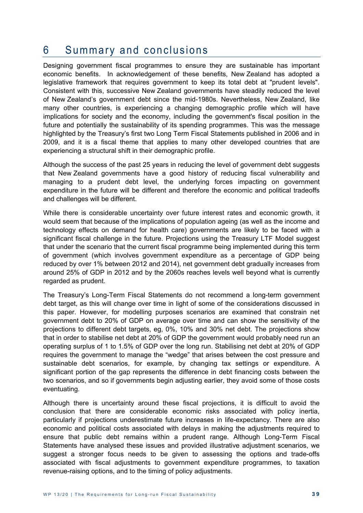### 6 Summary and conclusions

Designing government fiscal programmes to ensure they are sustainable has important economic benefits. In acknowledgement of these benefits, New Zealand has adopted a legislative framework that requires government to keep its total debt at "prudent levels". Consistent with this, successive New Zealand governments have steadily reduced the level of New Zealand's government debt since the mid-1980s. Nevertheless, New Zealand, like many other countries, is experiencing a changing demographic profile which will have implications for society and the economy, including the government's fiscal position in the future and potentially the sustainability of its spending programmes. This was the message highlighted by the Treasury's first two Long Term Fiscal Statements published in 2006 and in 2009, and it is a fiscal theme that applies to many other developed countries that are experiencing a structural shift in their demographic profile.

Although the success of the past 25 years in reducing the level of government debt suggests that New Zealand governments have a good history of reducing fiscal vulnerability and managing to a prudent debt level, the underlying forces impacting on government expenditure in the future will be different and therefore the economic and political tradeoffs and challenges will be different.

While there is considerable uncertainty over future interest rates and economic growth, it would seem that because of the implications of population ageing (as well as the income and technology effects on demand for health care) governments are likely to be faced with a significant fiscal challenge in the future. Projections using the Treasury LTF Model suggest that under the scenario that the current fiscal programme being implemented during this term of government (which involves government expenditure as a percentage of GDP being reduced by over 1% between 2012 and 2014), net government debt gradually increases from around 25% of GDP in 2012 and by the 2060s reaches levels well beyond what is currently regarded as prudent.

The Treasury's Long-Term Fiscal Statements do not recommend a long-term government debt target, as this will change over time in light of some of the considerations discussed in this paper. However, for modelling purposes scenarios are examined that constrain net government debt to 20% of GDP on average over time and can show the sensitivity of the projections to different debt targets, eg, 0%, 10% and 30% net debt. The projections show that in order to stabilise net debt at 20% of GDP the government would probably need run an operating surplus of 1 to 1.5% of GDP over the long run. Stabilising net debt at 20% of GDP requires the government to manage the "wedge" that arises between the cost pressure and sustainable debt scenarios, for example, by changing tax settings or expenditure. A significant portion of the gap represents the difference in debt financing costs between the two scenarios, and so if governments begin adjusting earlier, they avoid some of those costs eventuating.

Although there is uncertainty around these fiscal projections, it is difficult to avoid the conclusion that there are considerable economic risks associated with policy inertia, particularly if projections underestimate future increases in life-expectancy. There are also economic and political costs associated with delays in making the adjustments required to ensure that public debt remains within a prudent range. Although Long-Term Fiscal Statements have analysed these issues and provided illustrative adjustment scenarios, we suggest a stronger focus needs to be given to assessing the options and trade-offs associated with fiscal adjustments to government expenditure programmes, to taxation revenue-raising options, and to the timing of policy adjustments.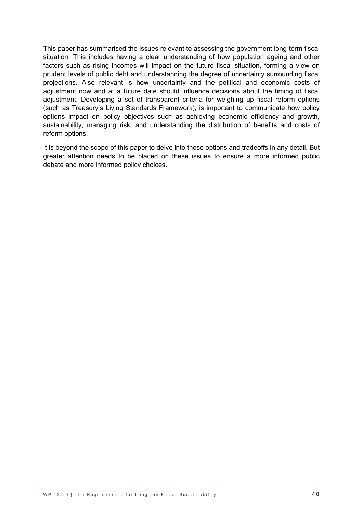This paper has summarised the issues relevant to assessing the government long-term fiscal situation. This includes having a clear understanding of how population ageing and other factors such as rising incomes will impact on the future fiscal situation, forming a view on prudent levels of public debt and understanding the degree of uncertainty surrounding fiscal projections. Also relevant is how uncertainty and the political and economic costs of adjustment now and at a future date should influence decisions about the timing of fiscal adjustment. Developing a set of transparent criteria for weighing up fiscal reform options (such as Treasury's Living Standards Framework), is important to communicate how policy options impact on policy objectives such as achieving economic efficiency and growth, sustainability, managing risk, and understanding the distribution of benefits and costs of reform options.

It is beyond the scope of this paper to delve into these options and tradeoffs in any detail. But greater attention needs to be placed on these issues to ensure a more informed public debate and more informed policy choices.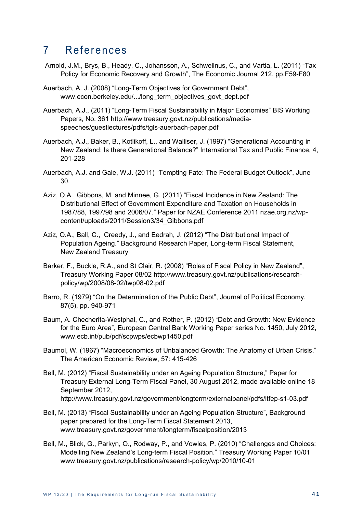### 7 References

- Arnold, J.M., Brys, B., Heady, C., Johansson, A., Schwellnus, C., and Vartia, L. (2011) "Tax Policy for Economic Recovery and Growth", The Economic Journal 212, pp.F59-F80
- Auerbach, A. J. (2008) "Long-Term Objectives for Government Debt", www.econ.berkeley.edu/.../long\_term\_objectives\_govt\_dept.pdf
- Auerbach, A.J., (2011) "Long-Term Fiscal Sustainability in Major Economies" BIS Working Papers, No. 361 http://www.treasury.govt.nz/publications/mediaspeeches/guestlectures/pdfs/tgls-auerbach-paper.pdf
- Auerbach, A.J., Baker, B., Kotlikoff, L., and Walliser, J. (1997) "Generational Accounting in New Zealand: Is there Generational Balance?" International Tax and Public Finance, 4, 201-228
- Auerbach, A.J. and Gale, W.J. (2011) "Tempting Fate: The Federal Budget Outlook", June 30.
- Aziz, O.A., Gibbons, M. and Minnee, G. (2011) "Fiscal Incidence in New Zealand: The Distributional Effect of Government Expenditure and Taxation on Households in 1987/88, 1997/98 and 2006/07." Paper for NZAE Conference 2011 nzae.org.nz/wpcontent/uploads/2011/Session3/34\_Gibbons.pdf
- Aziz, O.A., Ball, C., Creedy, J., and Eedrah, J. (2012) "The Distributional Impact of Population Ageing." Background Research Paper, Long-term Fiscal Statement, New Zealand Treasury
- Barker, F., Buckle, R.A., and St Clair, R. (2008) "Roles of Fiscal Policy in New Zealand", Treasury Working Paper 08/02 http://www.treasury.govt.nz/publications/researchpolicy/wp/2008/08-02/twp08-02.pdf
- Barro, R. (1979) "On the Determination of the Public Debt", Journal of Political Economy, 87(5), pp. 940-971
- Baum, A. Checherita-Westphal, C., and Rother, P. (2012) "Debt and Growth: New Evidence for the Euro Area", European Central Bank Working Paper series No. 1450, July 2012, www.ecb.int/pub/pdf/scpwps/ecbwp1450.pdf
- Baumol, W. (1967) "Macroeconomics of Unbalanced Growth: The Anatomy of Urban Crisis." The American Economic Review, 57: 415-426
- Bell, M. (2012) "Fiscal Sustainability under an Ageing Population Structure," Paper for Treasury External Long-Term Fiscal Panel, 30 August 2012, made available online 18 September 2012, http://www.treasury.govt.nz/government/longterm/externalpanel/pdfs/ltfep-s1-03.pdf
- Bell, M. (2013) "Fiscal Sustainability under an Ageing Population Structure", Background paper prepared for the Long-Term Fiscal Statement 2013, www.treasury.govt.nz/government/longterm/fiscalposition/2013
- Bell, M., Blick, G., Parkyn, O., Rodway, P., and Vowles, P. (2010) "Challenges and Choices: Modelling New Zealand's Long-term Fiscal Position." Treasury Working Paper 10/01 www.treasury.govt.nz/publications/research-policy/wp/2010/10-01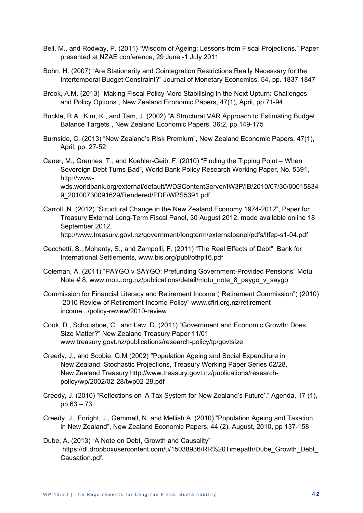- Bell, M., and Rodway, P. (2011) "Wisdom of Ageing: Lessons from Fiscal Projections." Paper presented at NZAE conference, 29 June -1 July 2011
- Bohn, H. (2007) "Are Stationarity and Cointegration Restrictions Really Necessary for the Intertemporal Budget Constraint?" Journal of Monetary Economics, 54, pp. 1837-1847
- Brook, A.M. (2013) "Making Fiscal Policy More Stabilising in the Next Upturn: Challenges and Policy Options", New Zealand Economic Papers, 47(1), April, pp.71-94
- Buckle, R.A., Kim, K., and Tam, J. (2002) "A Structural VAR Approach to Estimating Budget Balance Targets", New Zealand Economic Papers, 36:2, pp.149-175
- Burnside, C. (2013) "New Zealand's Risk Premium", New Zealand Economic Papers, 47(1), April, pp. 27-52
- Caner, M., Grennes, T., and Koehler-Geib, F. (2010) "Finding the Tipping Point When Sovereign Debt Turns Bad", World Bank Policy Research Working Paper, No. 5391, http://wwwwds.worldbank.org/external/default/WDSContentServer/IW3P/IB/2010/07/30/00015834 9\_20100730091629/Rendered/PDF/WPS5391.pdf
- Carroll, N. (2012) "Structural Change in the New Zealand Economy 1974-2012", Paper for Treasury External Long-Term Fiscal Panel, 30 August 2012, made available online 18 September 2012, http://www.treasury.govt.nz/government/longterm/externalpanel/pdfs/ltfep-s1-04.pdf
- Cecchetti, S., Mohanty, S., and Zampolli, F. (2011) "The Real Effects of Debt", Bank for International Settlements, www.bis.org/publ/othp16.pdf
- Coleman, A. (2011) "PAYGO v SAYGO: Prefunding Government-Provided Pensions" Motu Note #8, www.motu.org.nz/publications/detail/motu\_note\_8\_paygo\_v\_saygo
- Commission for Financial Literacy and Retirement Income ("Retirement Commission") (2010) "2010 Review of Retirement Income Policy" www.cflri.org.nz/retirementincome.../policy-review/2010-review
- Cook, D., Schousboe, C., and Law, D. (2011) "Government and Economic Growth: Does Size Matter?" New Zealand Treasury Paper 11/01 www.treasury.govt.nz/publications/research-policy/tp/govtsize
- Creedy, J., and Scobie, G.M (2002) "Population Ageing and Social Expenditure in New Zealand: Stochastic Projections, Treasury Working Paper Series 02/28, New Zealand Treasury http://www.treasury.govt.nz/publications/researchpolicy/wp/2002/02-28/twp02-28.pdf
- Creedy, J. (2010) "Reflections on 'A Tax System for New Zealand's Future'." Agenda, 17 (1), pp 63 – 73
- Creedy, J., Enright, J., Gemmell, N. and Mellish A. (2010) "Population Ageing and Taxation in New Zealand", New Zealand Economic Papers, 44 (2), August, 2010, pp 137-158
- Dube, A. (2013) "A Note on Debt, Growth and Causality" https://dl.dropboxusercontent.com/u/15038936/RR%20Timepath/Dube\_Growth\_Debt\_ Causation.pdf.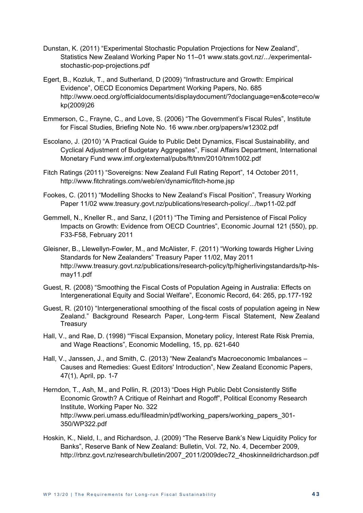- Dunstan, K. (2011) "Experimental Stochastic Population Projections for New Zealand", Statistics New Zealand Working Paper No 11–01 www.stats.govt.nz/.../experimentalstochastic-pop-projections.pdf
- Egert, B., Kozluk, T., and Sutherland, D (2009) "Infrastructure and Growth: Empirical Evidence", OECD Economics Department Working Papers, No. 685 http://www.oecd.org/officialdocuments/displaydocument/?doclanguage=en&cote=eco/w kp(2009)26
- Emmerson, C., Frayne, C., and Love, S. (2006) "The Government's Fiscal Rules", Institute for Fiscal Studies, Briefing Note No. 16 www.nber.org/papers/w12302.pdf
- Escolano, J. (2010) "A Practical Guide to Public Debt Dynamics, Fiscal Sustainability, and Cyclical Adjustment of Budgetary Aggregates", Fiscal Affairs Department, International Monetary Fund www.imf.org/external/pubs/ft/tnm/2010/tnm1002.pdf
- Fitch Ratings (2011) "Sovereigns: New Zealand Full Rating Report", 14 October 2011, http://www.fitchratings.com/web/en/dynamic/fitch-home.jsp
- Fookes, C. (2011) "Modelling Shocks to New Zealand's Fiscal Position", Treasury Working Paper 11/02 www.treasury.govt.nz/publications/research-policy/.../twp11-02.pdf
- Gemmell, N., Kneller R., and Sanz, I (2011) "The Timing and Persistence of Fiscal Policy Impacts on Growth: Evidence from OECD Countries", Economic Journal 121 (550), pp. F33-F58, February 2011
- Gleisner, B., Llewellyn-Fowler, M., and McAlister, F. (2011) "Working towards Higher Living Standards for New Zealanders" Treasury Paper 11/02, May 2011 http://www.treasury.govt.nz/publications/research-policy/tp/higherlivingstandards/tp-hlsmay11.pdf
- Guest, R. (2008) "Smoothing the Fiscal Costs of Population Ageing in Australia: Effects on Intergenerational Equity and Social Welfare", Economic Record, 64: 265, pp.177-192
- Guest, R. (2010) "Intergenerational smoothing of the fiscal costs of population ageing in New Zealand." Background Research Paper, Long-term Fiscal Statement, New Zealand **Treasury**
- Hall, V., and Rae, D. (1998) "'Fiscal Expansion, Monetary policy, Interest Rate Risk Premia, and Wage Reactions", Economic Modelling, 15, pp. 621-640
- Hall, V., Janssen, J., and Smith, C. (2013) "New Zealand's Macroeconomic Imbalances Causes and Remedies: Guest Editors' Introduction", New Zealand Economic Papers, 47(1), April, pp. 1-7
- Herndon, T., Ash, M., and Pollin, R. (2013) "Does High Public Debt Consistently Stifle Economic Growth? A Critique of Reinhart and Rogoff", Political Economy Research Institute, Working Paper No. 322 http://www.peri.umass.edu/fileadmin/pdf/working\_papers/working\_papers\_301-350/WP322.pdf
- Hoskin, K., Nield, I., and Richardson, J. (2009) "The Reserve Bank's New Liquidity Policy for Banks", Reserve Bank of New Zealand: Bulletin, Vol. 72, No. 4, December 2009, http://rbnz.govt.nz/research/bulletin/2007\_2011/2009dec72\_4hoskinneildrichardson.pdf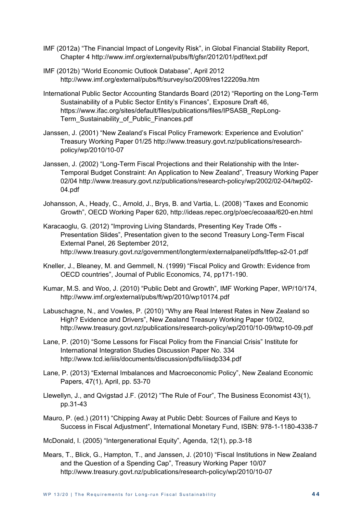- IMF (2012a) "The Financial Impact of Longevity Risk", in Global Financial Stability Report, Chapter 4 http://www.imf.org/external/pubs/ft/gfsr/2012/01/pdf/text.pdf
- IMF (2012b) "World Economic Outlook Database", April 2012 http://www.imf.org/external/pubs/ft/survey/so/2009/res122209a.htm
- International Public Sector Accounting Standards Board (2012) "Reporting on the Long-Term Sustainability of a Public Sector Entity's Finances", Exposure Draft 46, https://www.ifac.org/sites/default/files/publications/files/IPSASB\_RepLong-Term\_Sustainability\_of\_Public\_Finances.pdf
- Janssen, J. (2001) "New Zealand's Fiscal Policy Framework: Experience and Evolution" Treasury Working Paper 01/25 http://www.treasury.govt.nz/publications/researchpolicy/wp/2010/10-07
- Janssen, J. (2002) "Long-Term Fiscal Projections and their Relationship with the Inter-Temporal Budget Constraint: An Application to New Zealand", Treasury Working Paper 02/04 http://www.treasury.govt.nz/publications/research-policy/wp/2002/02-04/twp02- 04.pdf
- Johansson, A., Heady, C., Arnold, J., Brys, B. and Vartia, L. (2008) "Taxes and Economic Growth", OECD Working Paper 620, http://ideas.repec.org/p/oec/ecoaaa/620-en.html
- Karacaoglu, G. (2012) "Improving Living Standards, Presenting Key Trade Offs Presentation Slides", Presentation given to the second Treasury Long-Term Fiscal External Panel, 26 September 2012, http://www.treasury.govt.nz/government/longterm/externalpanel/pdfs/ltfep-s2-01.pdf
- Kneller, J., Bleaney, M. and Gemmell, N. (1999) "Fiscal Policy and Growth: Evidence from OECD countries", Journal of Public Economics, 74, pp171-190.
- Kumar, M.S. and Woo, J. (2010) "Public Debt and Growth", IMF Working Paper, WP/10/174, http://www.imf.org/external/pubs/ft/wp/2010/wp10174.pdf
- Labuschagne, N., and Vowles, P. (2010) "Why are Real Interest Rates in New Zealand so High? Evidence and Drivers", New Zealand Treasury Working Paper 10/02, http://www.treasury.govt.nz/publications/research-policy/wp/2010/10-09/twp10-09.pdf
- Lane, P. (2010) "Some Lessons for Fiscal Policy from the Financial Crisis" Institute for International Integration Studies Discussion Paper No. 334 http://www.tcd.ie/iiis/documents/discussion/pdfs/iiisdp334.pdf
- Lane, P. (2013) "External Imbalances and Macroeconomic Policy", New Zealand Economic Papers, 47(1), April, pp. 53-70
- Llewellyn, J., and Qvigstad J.F. (2012) "The Rule of Four", The Business Economist 43(1), pp.31-43
- Mauro, P. (ed.) (2011) "Chipping Away at Public Debt: Sources of Failure and Keys to Success in Fiscal Adjustment", International Monetary Fund, ISBN: 978-1-1180-4338-7

McDonald, I. (2005) "Intergenerational Equity", Agenda, 12(1), pp.3-18

Mears, T., Blick, G., Hampton, T., and Janssen, J. (2010) "Fiscal Institutions in New Zealand and the Question of a Spending Cap", Treasury Working Paper 10/07 http://www.treasury.govt.nz/publications/research-policy/wp/2010/10-07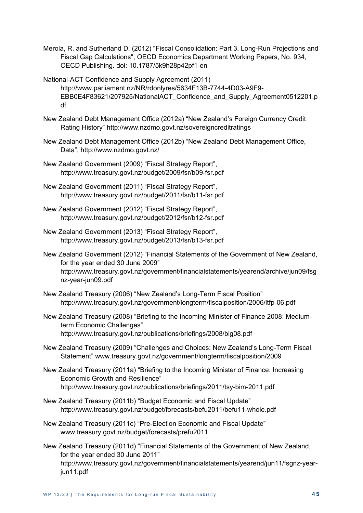- Merola, R. and Sutherland D. (2012) "Fiscal Consolidation: Part 3. Long-Run Projections and Fiscal Gap Calculations", OECD Economics Department Working Papers, No. 934, OECD Publishing. doi: 10.1787/5k9h28p42pf1-en
- National-ACT Confidence and Supply Agreement (2011) http://www.parliament.nz/NR/rdonlyres/5634F13B-7744-4D03-A9F9- EBB0E4F83621/207925/NationalACT\_Confidence\_and\_Supply\_Agreement0512201.p df
- New Zealand Debt Management Office (2012a) "New Zealand's Foreign Currency Credit Rating History" http://www.nzdmo.govt.nz/sovereigncreditratings
- New Zealand Debt Management Office (2012b) "New Zealand Debt Management Office, Data", http://www.nzdmo.govt.nz/
- New Zealand Government (2009) "Fiscal Strategy Report", http://www.treasury.govt.nz/budget/2009/fsr/b09-fsr.pdf
- New Zealand Government (2011) "Fiscal Strategy Report", http://www.treasury.govt.nz/budget/2011/fsr/b11-fsr.pdf
- New Zealand Government (2012) "Fiscal Strategy Report", http://www.treasury.govt.nz/budget/2012/fsr/b12-fsr.pdf
- New Zealand Government (2013) "Fiscal Strategy Report", http://www.treasury.govt.nz/budget/2013/fsr/b13-fsr.pdf
- New Zealand Government (2012) "Financial Statements of the Government of New Zealand, for the year ended 30 June 2009" http://www.treasury.govt.nz/government/financialstatements/yearend/archive/jun09/fsg nz-year-jun09.pdf
- New Zealand Treasury (2006) "New Zealand's Long-Term Fiscal Position" http://www.treasury.govt.nz/government/longterm/fiscalposition/2006/ltfp-06.pdf
- New Zealand Treasury (2008) "Briefing to the Incoming Minister of Finance 2008: Mediumterm Economic Challenges" http://www.treasury.govt.nz/publications/briefings/2008/big08.pdf
- New Zealand Treasury (2009) "Challenges and Choices: New Zealand's Long-Term Fiscal Statement" www.treasury.govt.nz/government/longterm/fiscalposition/2009
- New Zealand Treasury (2011a) "Briefing to the Incoming Minister of Finance: Increasing Economic Growth and Resilience" http://www.treasury.govt.nz/publications/briefings/2011/tsy-bim-2011.pdf
- New Zealand Treasury (2011b) "Budget Economic and Fiscal Update" http://www.treasury.govt.nz/budget/forecasts/befu2011/befu11-whole.pdf
- New Zealand Treasury (2011c) "Pre-Election Economic and Fiscal Update" www.treasury.govt.nz/budget/forecasts/prefu2011
- New Zealand Treasury (2011d) "Financial Statements of the Government of New Zealand, for the year ended 30 June 2011" http://www.treasury.govt.nz/government/financialstatements/yearend/jun11/fsgnz-yearjun11.pdf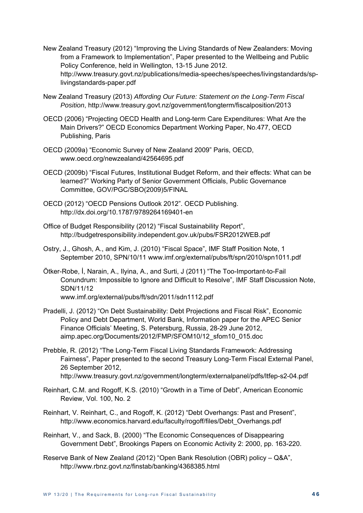New Zealand Treasury (2012) "Improving the Living Standards of New Zealanders: Moving from a Framework to Implementation", Paper presented to the Wellbeing and Public Policy Conference, held in Wellington, 13-15 June 2012. http://www.treasury.govt.nz/publications/media-speeches/speeches/livingstandards/splivingstandards-paper.pdf

- New Zealand Treasury (2013) *Affording Our Future: Statement on the Long-Term Fiscal Position*, http://www.treasury.govt.nz/government/longterm/fiscalposition/2013
- OECD (2006) "Projecting OECD Health and Long-term Care Expenditures: What Are the Main Drivers?" OECD Economics Department Working Paper, No.477, OECD Publishing, Paris
- OECD (2009a) "Economic Survey of New Zealand 2009" Paris, OECD, www.oecd.org/newzealand/42564695.pdf
- OECD (2009b) "Fiscal Futures, Institutional Budget Reform, and their effects: What can be learned?" Working Party of Senior Government Officials, Public Governance Committee, GOV/PGC/SBO(2009)5/FINAL
- OECD (2012) "OECD Pensions Outlook 2012". OECD Publishing. http://dx.doi.org/10.1787/9789264169401-en
- Office of Budget Responsibility (2012) "Fiscal Sustainability Report", http://budgetresponsibility.independent.gov.uk/pubs/FSR2012WEB.pdf
- Ostry, J., Ghosh, A., and Kim, J. (2010) "Fiscal Space", IMF Staff Position Note, 1 September 2010, SPN/10/11 www.imf.org/external/pubs/ft/spn/2010/spn1011.pdf
- Ötker-Robe, İ, Narain, A., Ilyina, A., and Surti, J (2011) "The Too-Important-to-Fail Conundrum: Impossible to Ignore and Difficult to Resolve", IMF Staff Discussion Note, SDN/11/12 www.imf.org/external/pubs/ft/sdn/2011/sdn1112.pdf
- Pradelli, J. (2012) "On Debt Sustainability: Debt Projections and Fiscal Risk", Economic Policy and Debt Department, World Bank, Information paper for the APEC Senior Finance Officials' Meeting, S. Petersburg, Russia, 28-29 June 2012, aimp.apec.org/Documents/2012/FMP/SFOM10/12\_sfom10\_015.doc
- Prebble, R. (2012) "The Long-Term Fiscal Living Standards Framework: Addressing Fairness", Paper presented to the second Treasury Long-Term Fiscal External Panel, 26 September 2012, http://www.treasury.govt.nz/government/longterm/externalpanel/pdfs/ltfep-s2-04.pdf
- Reinhart, C.M. and Rogoff, K.S. (2010) "Growth in a Time of Debt", American Economic Review, Vol. 100, No. 2
- Reinhart, V. Reinhart, C., and Rogoff, K. (2012) "Debt Overhangs: Past and Present", http://www.economics.harvard.edu/faculty/rogoff/files/Debt\_Overhangs.pdf
- Reinhart, V., and Sack, B. (2000) "The Economic Consequences of Disappearing Government Debt", Brookings Papers on Economic Activity 2: 2000, pp. 163-220.
- Reserve Bank of New Zealand (2012) "Open Bank Resolution (OBR) policy Q&A", http://www.rbnz.govt.nz/finstab/banking/4368385.html